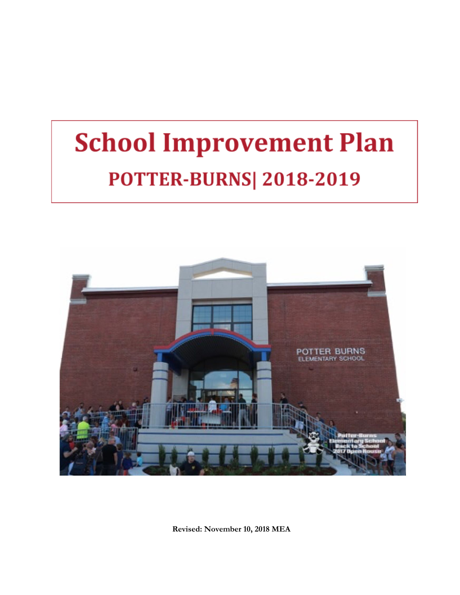# **School Improvement Plan POTTER-BURNS| 2018-2019**



**Revised: November 10, 2018 MEA**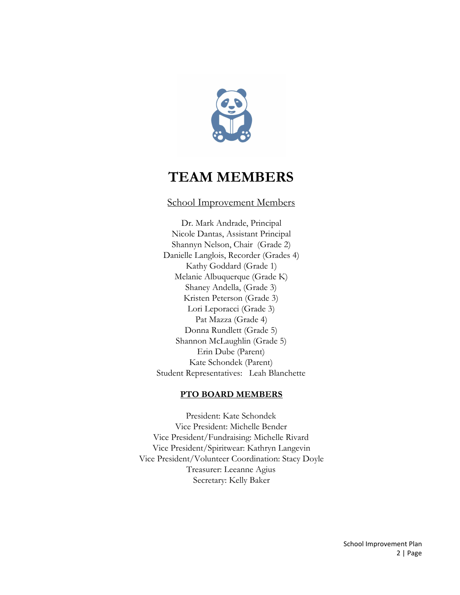

# **TEAM MEMBERS**

### School Improvement Members

Dr. Mark Andrade, Principal Nicole Dantas, Assistant Principal Shannyn Nelson, Chair (Grade 2) Danielle Langlois, Recorder (Grades 4) Kathy Goddard (Grade 1) Melanie Albuquerque (Grade K) Shaney Andella, (Grade 3) Kristen Peterson (Grade 3) Lori Leporacci (Grade 3) Pat Mazza (Grade 4) Donna Rundlett (Grade 5) Shannon McLaughlin (Grade 5) Erin Dube (Parent) Kate Schondek (Parent) Student Representatives: Leah Blanchette

#### **PTO BOARD MEMBERS**

President: Kate Schondek Vice President: Michelle Bender Vice President/Fundraising: Michelle Rivard Vice President/Spiritwear: Kathryn Langevin Vice President/Volunteer Coordination: Stacy Doyle Treasurer: Leeanne Agius Secretary: Kelly Baker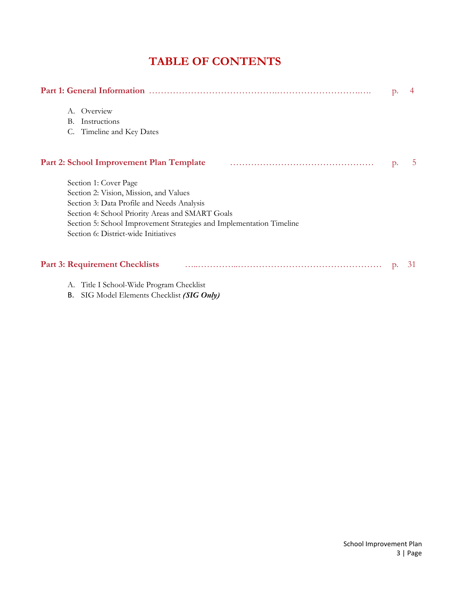# **TABLE OF CONTENTS**

| <b>Part 1: General Information</b> |                                                                      |       |    |  |  |
|------------------------------------|----------------------------------------------------------------------|-------|----|--|--|
|                                    | A. Overview                                                          |       |    |  |  |
|                                    | Instructions<br>В.                                                   |       |    |  |  |
|                                    | Timeline and Key Dates                                               |       |    |  |  |
|                                    | Part 2: School Improvement Plan Template                             | $p$ . | 5. |  |  |
|                                    | Section 1: Cover Page                                                |       |    |  |  |
|                                    | Section 2: Vision, Mission, and Values                               |       |    |  |  |
|                                    | Section 3: Data Profile and Needs Analysis                           |       |    |  |  |
|                                    | Section 4: School Priority Areas and SMART Goals                     |       |    |  |  |
|                                    | Section 5: School Improvement Strategies and Implementation Timeline |       |    |  |  |
|                                    | Section 6: District-wide Initiatives                                 |       |    |  |  |
|                                    | <b>Part 3: Requirement Checklists</b>                                | p.    | 31 |  |  |
|                                    | A. Title I School-Wide Program Checklist                             |       |    |  |  |

B. SIG Model Elements Checklist *(SIG Only)*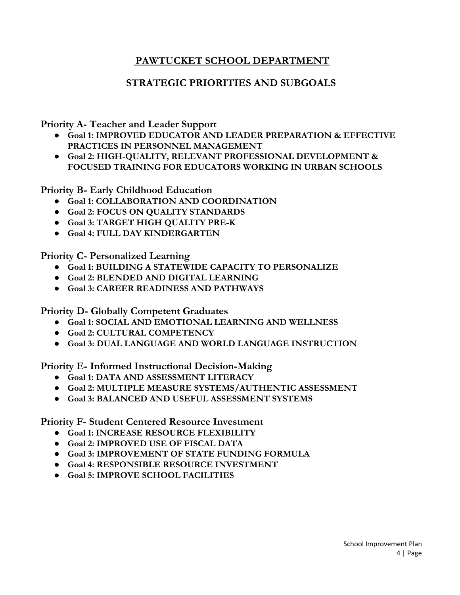# **PAWTUCKET SCHOOL DEPARTMENT**

# **STRATEGIC PRIORITIES AND SUBGOALS**

**Priority A- Teacher and Leader Support**

- **● Goal 1: IMPROVED EDUCATOR AND LEADER PREPARATION & EFFECTIVE PRACTICES IN PERSONNEL MANAGEMENT**
- **● Goal 2: HIGH-QUALITY, RELEVANT PROFESSIONAL DEVELOPMENT & FOCUSED TRAINING FOR EDUCATORS WORKING IN URBAN SCHOOLS**

**Priority B- Early Childhood Education**

- **● Goal 1: COLLABORATION AND COORDINATION**
- **● Goal 2: FOCUS ON QUALITY STANDARDS**
- **● Goal 3: TARGET HIGH QUALITY PRE-K**
- **● Goal 4: FULL DAY KINDERGARTEN**

**Priority C- Personalized Learning**

- **● Goal 1: BUILDING A STATEWIDE CAPACITY TO PERSONALIZE**
- **● Goal 2: BLENDED AND DIGITAL LEARNING**
- **● Goal 3: CAREER READINESS AND PATHWAYS**

**Priority D- Globally Competent Graduates**

- **● Goal 1: SOCIAL AND EMOTIONAL LEARNING AND WELLNESS**
- **● Goal 2: CULTURAL COMPETENCY**
- **● Goal 3: DUAL LANGUAGE AND WORLD LANGUAGE INSTRUCTION**

**Priority E- Informed Instructional Decision-Making**

- **● Goal 1: DATA AND ASSESSMENT LITERACY**
- **● Goal 2: MULTIPLE MEASURE SYSTEMS/AUTHENTIC ASSESSMENT**
- **● Goal 3: BALANCED AND USEFUL ASSESSMENT SYSTEMS**

### **Priority F- Student Centered Resource Investment**

- **● Goal 1: INCREASE RESOURCE FLEXIBILITY**
- **● Goal 2: IMPROVED USE OF FISCAL DATA**
- **● Goal 3: IMPROVEMENT OF STATE FUNDING FORMULA**
- **● Goal 4: RESPONSIBLE RESOURCE INVESTMENT**
- **● Goal 5: IMPROVE SCHOOL FACILITIES**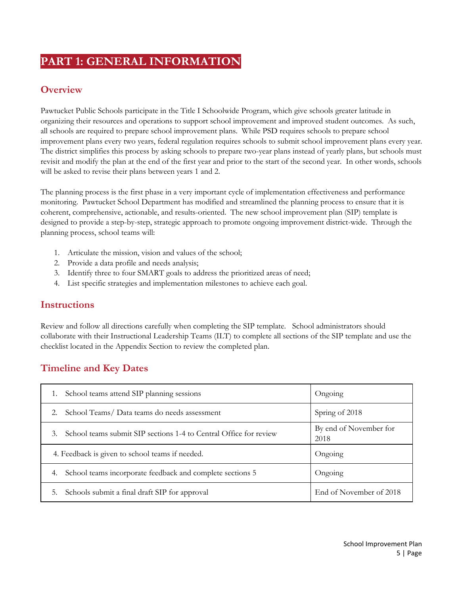# **PART 1: GENERAL INFORMATION**

# **Overview**

Pawtucket Public Schools participate in the Title I Schoolwide Program, which give schools greater latitude in organizing their resources and operations to support school improvement and improved student outcomes. As such, all schools are required to prepare school improvement plans. While PSD requires schools to prepare school improvement plans every two years, federal regulation requires schools to submit school improvement plans every year. The district simplifies this process by asking schools to prepare two-year plans instead of yearly plans, but schools must revisit and modify the plan at the end of the first year and prior to the start of the second year. In other words, schools will be asked to revise their plans between years 1 and 2.

The planning process is the first phase in a very important cycle of implementation effectiveness and performance monitoring. Pawtucket School Department has modified and streamlined the planning process to ensure that it is coherent, comprehensive, actionable, and results-oriented. The new school improvement plan (SIP) template is designed to provide a step-by-step, strategic approach to promote ongoing improvement district-wide. Through the planning process, school teams will:

- 1. Articulate the mission, vision and values of the school;
- 2. Provide a data profile and needs analysis;
- 3. Identify three to four SMART goals to address the prioritized areas of need;
- 4. List specific strategies and implementation milestones to achieve each goal.

### **Instructions**

Review and follow all directions carefully when completing the SIP template. School administrators should collaborate with their Instructional Leadership Teams (ILT) to complete all sections of the SIP template and use the checklist located in the Appendix Section to review the completed plan.

# **Timeline and Key Dates**

| School teams attend SIP planning sessions<br>1.                         | Ongoing                        |
|-------------------------------------------------------------------------|--------------------------------|
| School Teams/Data teams do needs assessment<br>2.                       | Spring of 2018                 |
| School teams submit SIP sections 1-4 to Central Office for review<br>3. | By end of November for<br>2018 |
| 4. Feedback is given to school teams if needed.                         | Ongoing                        |
| School teams incorporate feedback and complete sections 5<br>4.         | Ongoing                        |
| Schools submit a final draft SIP for approval<br>5.                     | End of November of 2018        |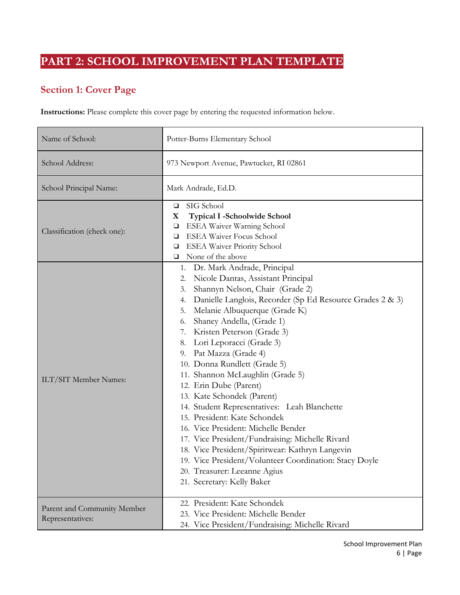# **PART 2: SCHOOL IMPROVEMENT PLAN TEMPLATE**

# **Section 1: Cover Page**

**Instructions:** Please complete this cover page by entering the requested information below.

| Name of School:                                 | Potter-Burns Elementary School                                                                                                                                                                                                                                                                                                                                                                                                                                                                                                                                                                                                                                                                                                                                                                                                                       |  |  |  |
|-------------------------------------------------|------------------------------------------------------------------------------------------------------------------------------------------------------------------------------------------------------------------------------------------------------------------------------------------------------------------------------------------------------------------------------------------------------------------------------------------------------------------------------------------------------------------------------------------------------------------------------------------------------------------------------------------------------------------------------------------------------------------------------------------------------------------------------------------------------------------------------------------------------|--|--|--|
| School Address:                                 | 973 Newport Avenue, Pawtucket, RI 02861                                                                                                                                                                                                                                                                                                                                                                                                                                                                                                                                                                                                                                                                                                                                                                                                              |  |  |  |
| School Principal Name:                          | Mark Andrade, Ed.D.                                                                                                                                                                                                                                                                                                                                                                                                                                                                                                                                                                                                                                                                                                                                                                                                                                  |  |  |  |
| Classification (check one):                     | SIG School<br>$\Box$<br><b>Typical I -Schoolwide School</b><br>X<br>ESEA Waiver Warning School<br>□<br><b>ESEA Waiver Focus School</b><br>□<br><b>ESEA Waiver Priority School</b><br>□<br>None of the above<br>$\Box$                                                                                                                                                                                                                                                                                                                                                                                                                                                                                                                                                                                                                                |  |  |  |
| ILT/SIT Member Names:                           | Dr. Mark Andrade, Principal<br>1.<br>Nicole Dantas, Assistant Principal<br>2.<br>Shannyn Nelson, Chair (Grade 2)<br>3.<br>Danielle Langlois, Recorder (Sp Ed Resource Grades 2 & 3)<br>4.<br>Melanie Albuquerque (Grade K)<br>5.<br>Shaney Andella, (Grade 1)<br>6.<br>7. Kristen Peterson (Grade 3)<br>Lori Leporacci (Grade 3)<br>8.<br>Pat Mazza (Grade 4)<br>9.<br>10. Donna Rundlett (Grade 5)<br>11. Shannon McLaughlin (Grade 5)<br>12. Erin Dube (Parent)<br>13. Kate Schondek (Parent)<br>14. Student Representatives: Leah Blanchette<br>15. President: Kate Schondek<br>16. Vice President: Michelle Bender<br>17. Vice President/Fundraising: Michelle Rivard<br>18. Vice President/Spiritwear: Kathryn Langevin<br>19. Vice President/Volunteer Coordination: Stacy Doyle<br>20. Treasurer: Leeanne Agius<br>21. Secretary: Kelly Baker |  |  |  |
| Parent and Community Member<br>Representatives: | 22. President: Kate Schondek<br>23. Vice President: Michelle Bender<br>24. Vice President/Fundraising: Michelle Rivard                                                                                                                                                                                                                                                                                                                                                                                                                                                                                                                                                                                                                                                                                                                               |  |  |  |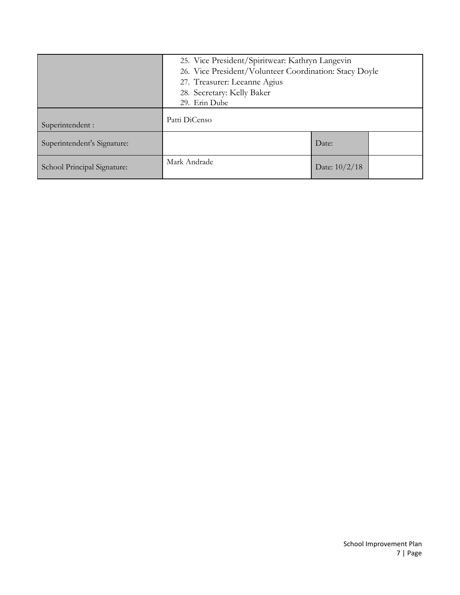|                             | 25. Vice President/Spiritwear: Kathryn Langevin        |  |  |  |  |
|-----------------------------|--------------------------------------------------------|--|--|--|--|
|                             | 26. Vice President/Volunteer Coordination: Stacy Doyle |  |  |  |  |
|                             | 27. Treasurer: Leeanne Agius                           |  |  |  |  |
|                             | 28. Secretary: Kelly Baker                             |  |  |  |  |
|                             | 29. Erin Dube                                          |  |  |  |  |
| Superintendent :            | Patti DiCenso                                          |  |  |  |  |
| Superintendent's Signature: | Date:                                                  |  |  |  |  |
| School Principal Signature: | Mark Andrade<br>Date: $10/2/18$                        |  |  |  |  |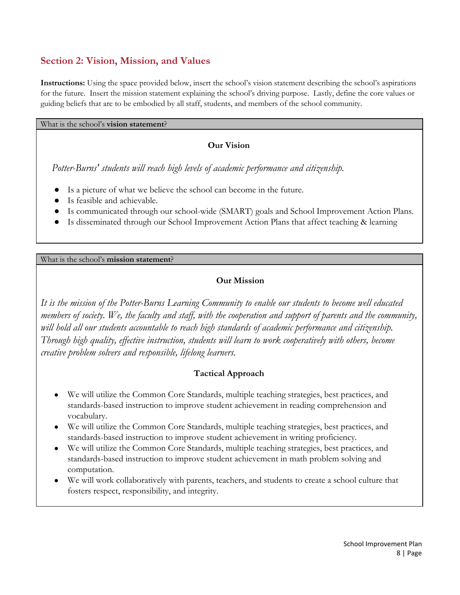# **Section 2: Vision, Mission, and Values**

**Instructions:** Using the space provided below, insert the school's vision statement describing the school's aspirations for the future. Insert the mission statement explaining the school's driving purpose. Lastly, define the core values or guiding beliefs that are to be embodied by all staff, students, and members of the school community.

What is the school's **vision statement**?

#### **Our Vision**

*Potter-Burns' students will reach high levels of academic performance and citizenship.*

- Is a picture of what we believe the school can become in the future.
- Is feasible and achievable.
- Is communicated through our school-wide (SMART) goals and School Improvement Action Plans.
- Is disseminated through our School Improvement Action Plans that affect teaching & learning

What is the school's **mission statement**?

#### **Our Mission**

*It is the mission of the Potter-Burns Learning Community to enable our students to become well educated* members of society. We, the faculty and staff, with the cooperation and support of parents and the community, *will hold all our students accountable to reach high standards of academic performance and citizenship. Through high quality, ef ective instruction, students will learn to work cooperatively with others, become creative problem solvers and responsible, lifelong learners.*

#### **Tactical Approach**

- We will utilize the Common Core Standards, multiple teaching strategies, best practices, and standards-based instruction to improve student achievement in reading comprehension and vocabulary.
- We will utilize the Common Core Standards, multiple teaching strategies, best practices, and standards-based instruction to improve student achievement in writing proficiency.
- We will utilize the Common Core Standards, multiple teaching strategies, best practices, and standards-based instruction to improve student achievement in math problem solving and computation.
- We will work collaboratively with parents, teachers, and students to create a school culture that fosters respect, responsibility, and integrity.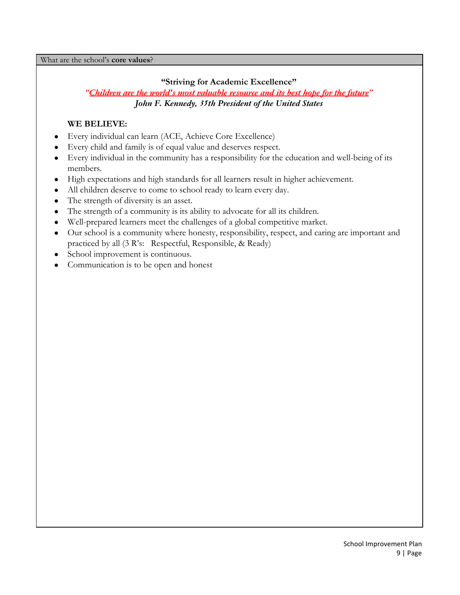What are the school's **core values**?

#### **"Striving for Academic Excellence"**

#### *["Children are the world's most valuable resource and its best hope for the future](http://thinkexist.com/quotation/children_are_the_world-s_most_valuable_resource/174301.html)" John F. Kennedy, 35th President of the United States*

### **WE BELIEVE:**

- Every individual can learn (ACE, Achieve Core Excellence)
- Every child and family is of equal value and deserves respect.
- Every individual in the community has a responsibility for the education and well-being of its members.
- High expectations and high standards for all learners result in higher achievement.
- All children deserve to come to school ready to learn every day.
- The strength of diversity is an asset.
- The strength of a community is its ability to advocate for all its children.
- Well-prepared learners meet the challenges of a global competitive market.
- Our school is a community where honesty, responsibility, respect, and caring are important and practiced by all (3 R's: Respectful, Responsible, & Ready)
- School improvement is continuous.
- Communication is to be open and honest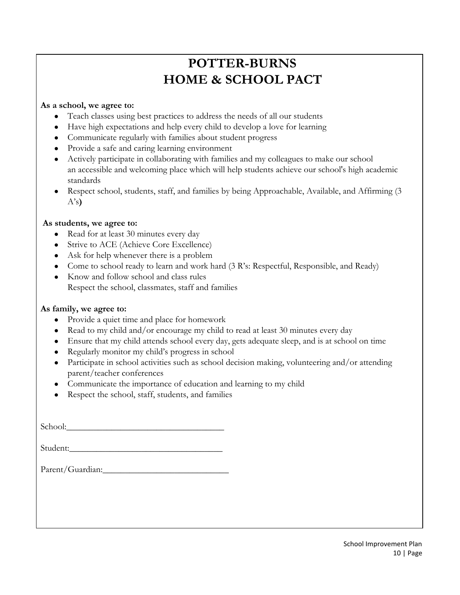# **POTTER-BURNS HOME & SCHOOL PACT**

#### **As a school, we agree to:**

- Teach classes using best practices to address the needs of all our students
- Have high expectations and help every child to develop a love for learning
- Communicate regularly with families about student progress
- Provide a safe and caring learning environment
- Actively participate in collaborating with families and my colleagues to make our school an accessible and welcoming place which will help students achieve our school's high academic standards
- Respect school, students, staff, and families by being Approachable, Available, and Affirming (3) A's**)**

#### **As students, we agree to:**

- Read for at least 30 minutes every day
- Strive to ACE (Achieve Core Excellence)
- Ask for help whenever there is a problem
- Come to school ready to learn and work hard (3 R's: Respectful, Responsible, and Ready)
- Know and follow school and class rules Respect the school, classmates, staff and families

#### **As family, we agree to:**

- Provide a quiet time and place for homework
- Read to my child and/or encourage my child to read at least 30 minutes every day
- Ensure that my child attends school every day, gets adequate sleep, and is at school on time
- Regularly monitor my child's progress in school
- Participate in school activities such as school decision making, volunteering and/or attending parent/teacher conferences
- Communicate the importance of education and learning to my child
- Respect the school, staff, students, and families

| Student:         |
|------------------|
| Parent/Guardian: |
|                  |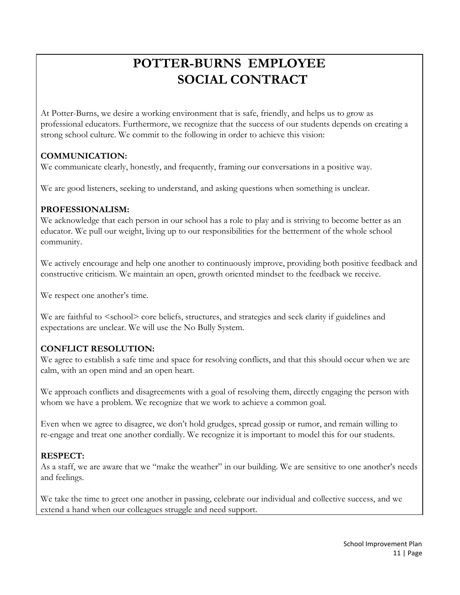# **POTTER-BURNS EMPLOYEE SOCIAL CONTRACT**

At Potter-Burns, we desire a working environment that is safe, friendly, and helps us to grow as professional educators. Furthermore, we recognize that the success of our students depends on creating a strong school culture. We commit to the following in order to achieve this vision:

### **COMMUNICATION:**

We communicate clearly, honestly, and frequently, framing our conversations in a positive way.

We are good listeners, seeking to understand, and asking questions when something is unclear.

#### **PROFESSIONALISM:**

We acknowledge that each person in our school has a role to play and is striving to become better as an educator. We pull our weight, living up to our responsibilities for the betterment of the whole school community.

We actively encourage and help one another to continuously improve, providing both positive feedback and constructive criticism. We maintain an open, growth oriented mindset to the feedback we receive.

We respect one another's time.

We are faithful to  $\le$  school> core beliefs, structures, and strategies and seek clarity if guidelines and expectations are unclear. We will use the No Bully System.

### **CONFLICT RESOLUTION:**

We agree to establish a safe time and space for resolving conflicts, and that this should occur when we are calm, with an open mind and an open heart.

We approach conflicts and disagreements with a goal of resolving them, directly engaging the person with whom we have a problem. We recognize that we work to achieve a common goal.

Even when we agree to disagree, we don't hold grudges, spread gossip or rumor, and remain willing to re-engage and treat one another cordially. We recognize it is important to model this for our students.

#### **RESPECT:**

As a staff, we are aware that we "make the weather" in our building. We are sensitive to one another's needs and feelings.

We take the time to greet one another in passing, celebrate our individual and collective success, and we extend a hand when our colleagues struggle and need support.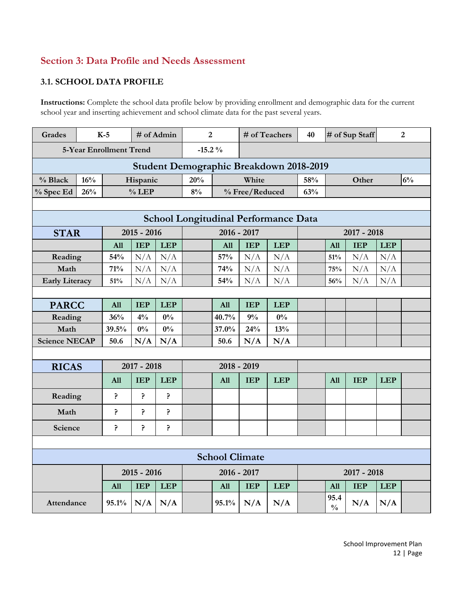# **Section 3: Data Profile and Needs Assessment**

#### **3.1. SCHOOL DATA PROFILE**

**Instructions:** Complete the school data profile below by providing enrollment and demographic data for the current school year and inserting achievement and school climate data for the past several years.

| <b>Grades</b>           |                                             | $K-5$      |               | # of Admin | $\overline{2}$ |                       |                | # of Teachers                           | 40  |                       | # of Sup Staff |            | $\overline{2}$ |
|-------------------------|---------------------------------------------|------------|---------------|------------|----------------|-----------------------|----------------|-----------------------------------------|-----|-----------------------|----------------|------------|----------------|
| 5-Year Enrollment Trend |                                             |            |               |            | $-15.2%$       |                       |                |                                         |     |                       |                |            |                |
|                         |                                             |            |               |            |                |                       |                | Student Demographic Breakdown 2018-2019 |     |                       |                |            |                |
| % Black                 | 16%                                         |            | Hispanic      |            | 20%            |                       | White          |                                         | 58% |                       | Other          |            | 6%             |
| % Spec Ed               | 26%                                         |            | $%$ LEP       |            | 8%             |                       | % Free/Reduced |                                         | 63% |                       |                |            |                |
|                         |                                             |            |               |            |                |                       |                |                                         |     |                       |                |            |                |
|                         | <b>School Longitudinal Performance Data</b> |            |               |            |                |                       |                |                                         |     |                       |                |            |                |
| <b>STAR</b>             |                                             |            | $2015 - 2016$ |            |                | 2016 - 2017           |                |                                         |     |                       | $2017 - 2018$  |            |                |
|                         |                                             | All        | <b>IEP</b>    | <b>LEP</b> |                | All                   | <b>IEP</b>     | <b>LEP</b>                              |     | All                   | <b>IEP</b>     | <b>LEP</b> |                |
| Reading                 |                                             | 54%        | N/A           | N/A        |                | 57%                   | N/A            | N/A                                     |     | 51%                   | N/A            | N/A        |                |
| Math                    |                                             | 71%        | N/A           | N/A        |                | 74%                   | N/A            | N/A                                     |     | 75%                   | N/A            | N/A        |                |
| <b>Early Literacy</b>   |                                             | 51%        | N/A           | N/A        |                | 54%                   | N/A            | N/A                                     |     | 56%                   | N/A            | N/A        |                |
|                         |                                             |            |               |            |                |                       |                |                                         |     |                       |                |            |                |
| <b>PARCC</b>            |                                             | All        | <b>IEP</b>    | <b>LEP</b> |                | All                   | <b>IEP</b>     | <b>LEP</b>                              |     |                       |                |            |                |
| Reading                 |                                             | 36%        | 4%            | $0\%$      |                | 40.7%                 | 9%             | $0\%$                                   |     |                       |                |            |                |
| Math                    |                                             | 39.5%      | $0\%$         | $0\%$      |                | 37.0%                 | 24%            | 13%                                     |     |                       |                |            |                |
| <b>Science NECAP</b>    |                                             | 50.6       | N/A           | N/A        |                | 50.6                  | N/A            | N/A                                     |     |                       |                |            |                |
|                         |                                             |            |               |            |                |                       |                |                                         |     |                       |                |            |                |
| <b>RICAS</b>            |                                             |            | $2017 - 2018$ |            |                |                       | $2018 - 2019$  |                                         |     |                       |                |            |                |
|                         |                                             | <b>All</b> | <b>IEP</b>    | <b>LEP</b> |                | All                   | <b>IEP</b>     | <b>LEP</b>                              |     | All                   | <b>IEP</b>     | <b>LEP</b> |                |
| Reading                 |                                             | Ģ.         | ?             | Ģ.         |                |                       |                |                                         |     |                       |                |            |                |
| Math                    |                                             | ?          | ?             | ?          |                |                       |                |                                         |     |                       |                |            |                |
| Science                 |                                             | ċ.         | ?             | ?          |                |                       |                |                                         |     |                       |                |            |                |
|                         |                                             |            |               |            |                |                       |                |                                         |     |                       |                |            |                |
|                         |                                             |            |               |            |                | <b>School Climate</b> |                |                                         |     |                       |                |            |                |
|                         |                                             |            | $2015 - 2016$ |            |                | 2016 - 2017           |                |                                         |     |                       | $2017 - 2018$  |            |                |
|                         |                                             | <b>All</b> | <b>IEP</b>    | <b>LEP</b> |                | <b>All</b>            | <b>IEP</b>     | <b>LEP</b>                              |     | <b>All</b>            | <b>IEP</b>     | <b>LEP</b> |                |
| Attendance              |                                             | 95.1%      | N/A           | N/A        |                | 95.1%                 | N/A            | N/A                                     |     | 95.4<br>$\frac{0}{0}$ | N/A            | N/A        |                |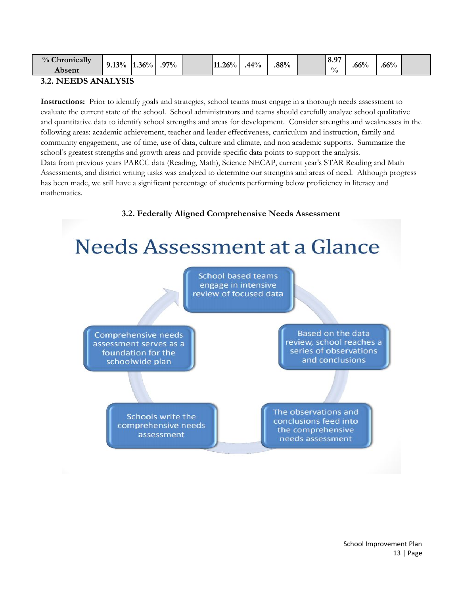| $\sim$<br>$\frac{0}{0}$<br>onically<br>un.<br>Absent | 9.13% | $1.36^{0/7}$<br>"∩. | $97\%$ |  | $1.26\%$ | 44% | .88% |  | <b>Q</b> 07<br>-<br>$\mathbf{0.7}$<br>$\frac{0}{0}$ | $.66\%$ | $.66\%$ |  |
|------------------------------------------------------|-------|---------------------|--------|--|----------|-----|------|--|-----------------------------------------------------|---------|---------|--|
|                                                      |       |                     |        |  |          |     |      |  |                                                     |         |         |  |

#### **3.2. NEEDS ANALYSIS**

**Instructions:** Prior to identify goals and strategies, school teams must engage in a thorough needs assessment to evaluate the current state of the school. School administrators and teams should carefully analyze school qualitative and quantitative data to identify school strengths and areas for development. Consider strengths and weaknesses in the following areas: academic achievement, teacher and leader effectiveness, curriculum and instruction, family and community engagement, use of time, use of data, culture and climate, and non academic supports. Summarize the school's greatest strengths and growth areas and provide specific data points to support the analysis. Data from previous years PARCC data (Reading, Math), Science NECAP, current year's STAR Reading and Math Assessments, and district writing tasks was analyzed to determine our strengths and areas of need. Although progress has been made, we still have a significant percentage of students performing below proficiency in literacy and mathematics.

#### **3.2. Federally Aligned Comprehensive Needs Assessment**

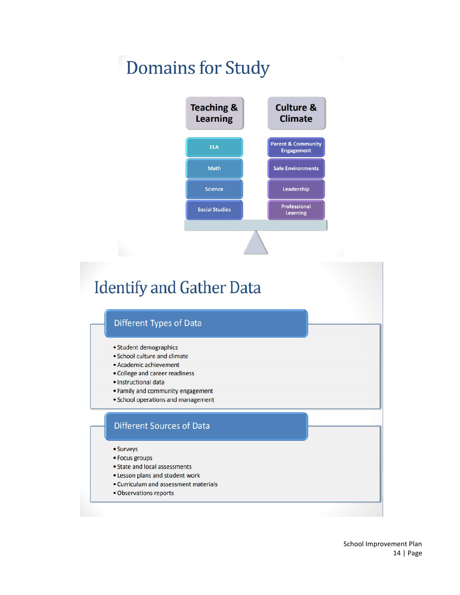# **Domains for Study**



# **Identify and Gather Data**

#### Different Types of Data

- · Student demographics
- · School culture and climate
- · Academic achievement
- College and career readiness
- · Instructional data
- Family and community engagement
- School operations and management

#### **Different Sources of Data**

- Surveys
- Focus groups
- State and local assessments
- . Lesson plans and student work
- Curriculum and assessment materials
- · Observations reports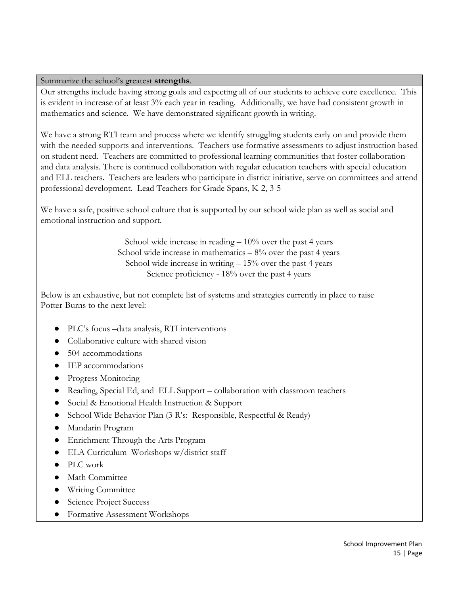#### Summarize the school's greatest **strengths**.

Our strengths include having strong goals and expecting all of our students to achieve core excellence. This is evident in increase of at least 3% each year in reading. Additionally, we have had consistent growth in mathematics and science. We have demonstrated significant growth in writing.

We have a strong RTI team and process where we identify struggling students early on and provide them with the needed supports and interventions. Teachers use formative assessments to adjust instruction based on student need. Teachers are committed to professional learning communities that foster collaboration and data analysis. There is continued collaboration with regular education teachers with special education and ELL teachers. Teachers are leaders who participate in district initiative, serve on committees and attend professional development. Lead Teachers for Grade Spans, K-2, 3-5

We have a safe, positive school culture that is supported by our school wide plan as well as social and emotional instruction and support.

> School wide increase in reading  $-10\%$  over the past 4 years School wide increase in mathematics  $-8\%$  over the past 4 years School wide increase in writing  $-15\%$  over the past 4 years Science proficiency - 18% over the past 4 years

Below is an exhaustive, but not complete list of systems and strategies currently in place to raise Potter-Burns to the next level:

- PLC's focus –data analysis, RTI interventions
- Collaborative culture with shared vision
- 504 accommodations
- IEP accommodations
- Progress Monitoring
- Reading, Special Ed, and ELL Support collaboration with classroom teachers
- Social & Emotional Health Instruction & Support
- School Wide Behavior Plan (3 R's: Responsible, Respectful & Ready)
- Mandarin Program
- Enrichment Through the Arts Program
- ELA Curriculum Workshops w/district staff
- PLC work
- Math Committee
- Writing Committee
- Science Project Success
- Formative Assessment Workshops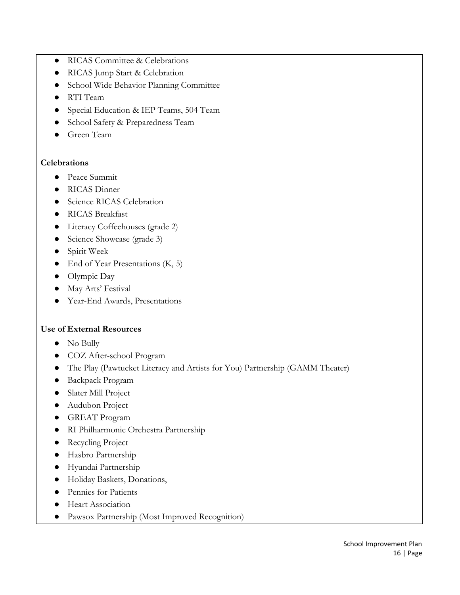- RICAS Committee & Celebrations
- RICAS Jump Start & Celebration
- School Wide Behavior Planning Committee
- RTI Team
- Special Education & IEP Teams, 504 Team
- School Safety & Preparedness Team
- Green Team

#### **Celebrations**

- Peace Summit
- RICAS Dinner
- Science RICAS Celebration
- RICAS Breakfast
- Literacy Coffeehouses (grade 2)
- Science Showcase (grade 3)
- Spirit Week
- End of Year Presentations (K, 5)
- Olympic Day
- May Arts' Festival
- Year-End Awards, Presentations

#### **Use of External Resources**

- No Bully
- COZ After-school Program
- The Play (Pawtucket Literacy and Artists for You) Partnership (GAMM Theater)
- Backpack Program
- Slater Mill Project
- Audubon Project
- GREAT Program
- RI Philharmonic Orchestra Partnership
- Recycling Project
- Hasbro Partnership
- Hyundai Partnership
- Holiday Baskets, Donations,
- Pennies for Patients
- Heart Association
- Pawsox Partnership (Most Improved Recognition)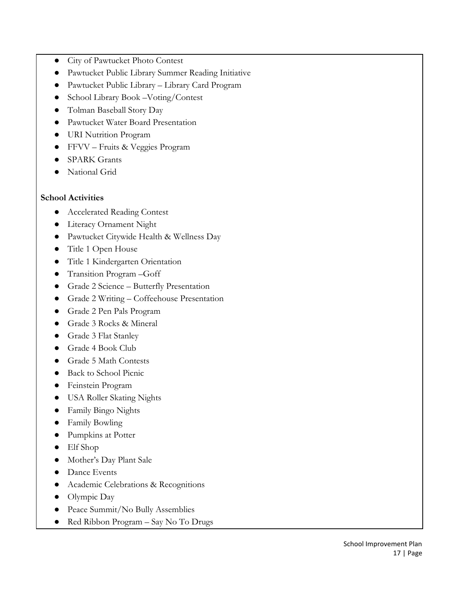- City of Pawtucket Photo Contest
- Pawtucket Public Library Summer Reading Initiative
- Pawtucket Public Library Library Card Program
- School Library Book –Voting/Contest
- Tolman Baseball Story Day
- Pawtucket Water Board Presentation
- URI Nutrition Program
- FFVV Fruits & Veggies Program
- **SPARK Grants**
- National Grid

#### **School Activities**

- Accelerated Reading Contest
- Literacy Ornament Night
- Pawtucket Citywide Health & Wellness Day
- Title 1 Open House
- Title 1 Kindergarten Orientation
- Transition Program –Goff
- Grade 2 Science Butterfly Presentation
- Grade 2 Writing Coffeehouse Presentation
- Grade 2 Pen Pals Program
- Grade 3 Rocks & Mineral
- Grade 3 Flat Stanley
- Grade 4 Book Club
- Grade 5 Math Contests
- Back to School Picnic
- Feinstein Program
- USA Roller Skating Nights
- Family Bingo Nights
- Family Bowling
- Pumpkins at Potter
- Elf Shop
- Mother's Day Plant Sale
- Dance Events
- Academic Celebrations & Recognitions
- Olympic Day
- Peace Summit/No Bully Assemblies
- Red Ribbon Program Say No To Drugs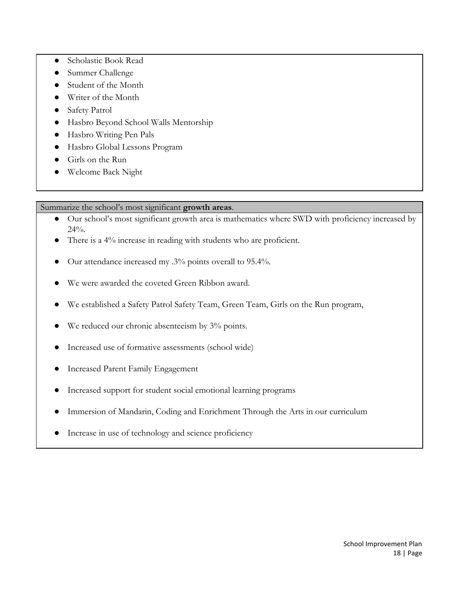- Scholastic Book Read
- Summer Challenge
- Student of the Month
- Writer of the Month
- Safety Patrol
- Hasbro Beyond School Walls Mentorship
- Hasbro Writing Pen Pals
- Hasbro Global Lessons Program
- Girls on the Run
- Welcome Back Night

Summarize the school's most significant **growth areas**.

- Our school's most significant growth area is mathematics where SWD with proficiency increased by 24%.
- There is a 4% increase in reading with students who are proficient.
- Our attendance increased my .3% points overall to 95.4%.
- We were awarded the coveted Green Ribbon award.
- We established a Safety Patrol Safety Team, Green Team, Girls on the Run program,
- We reduced our chronic absenteeism by 3% points.
- Increased use of formative assessments (school wide)
- Increased Parent Family Engagement
- Increased support for student social emotional learning programs
- Immersion of Mandarin, Coding and Enrichment Through the Arts in our curriculum
- Increase in use of technology and science proficiency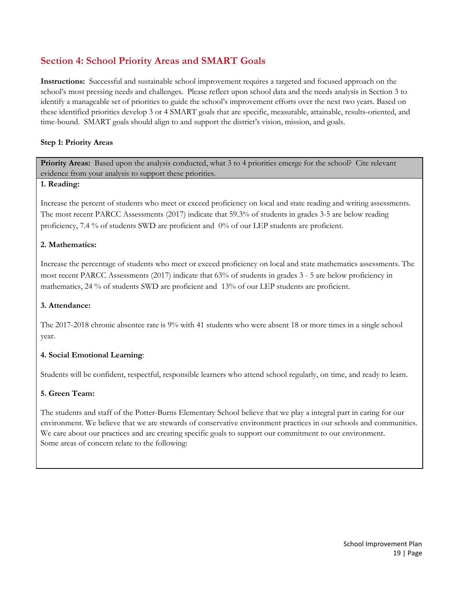# **Section 4: School Priority Areas and SMART Goals**

**Instructions:** Successful and sustainable school improvement requires a targeted and focused approach on the school's most pressing needs and challenges. Please reflect upon school data and the needs analysis in Section 3 to identify a manageable set of priorities to guide the school's improvement efforts over the next two years. Based on these identified priorities develop 3 or 4 SMART goals that are specific, measurable, attainable, results-oriented, and time-bound. SMART goals should align to and support the district's vision, mission, and goals.

#### **Step 1: Priority Areas**

**Priority Areas:** Based upon the analysis conducted, what 3 to 4 priorities emerge for the school? Cite relevant evidence from your analysis to support these priorities.

#### **1. Reading:**

Increase the percent of students who meet or exceed proficiency on local and state reading and writing assessments. The most recent PARCC Assessments (2017) indicate that 59.3% of students in grades 3-5 are below reading proficiency, 7.4 % of students SWD are proficient and 0% of our LEP students are proficient.

#### **2. Mathematics:**

Increase the percentage of students who meet or exceed proficiency on local and state mathematics assessments. The most recent PARCC Assessments (2017) indicate that 63% of students in grades 3 - 5 are below proficiency in mathematics, 24 % of students SWD are proficient and 13% of our LEP students are proficient.

#### **3. Attendance:**

The 2017-2018 chronic absentee rate is 9% with 41 students who were absent 18 or more times in a single school year.

#### **4. Social Emotional Learning**:

Students will be confident, respectful, responsible learners who attend school regularly, on time, and ready to learn.

#### **5. Green Team:**

The students and staff of the Potter-Burns Elementary School believe that we play a integral part in caring for our environment. We believe that we are stewards of conservative environment practices in our schools and communities. We care about our practices and are creating specific goals to support our commitment to our environment. Some areas of concern relate to the following: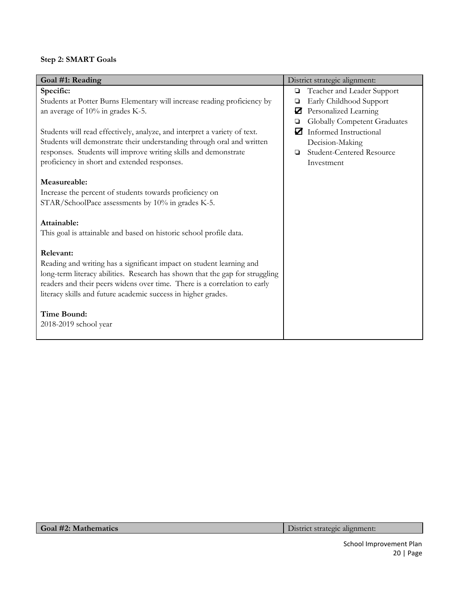# **Step 2: SMART Goals**

| Specific:<br>Teacher and Leader Support<br>$\Box$<br>Early Childhood Support<br>Students at Potter Burns Elementary will increase reading proficiency by<br>❏<br>Personalized Learning<br>☑<br>an average of 10% in grades K-5.<br><b>Globally Competent Graduates</b><br>❏<br>Students will read effectively, analyze, and interpret a variety of text.<br>☑<br><b>Informed Instructional</b><br>Students will demonstrate their understanding through oral and written<br>Decision-Making<br>responses. Students will improve writing skills and demonstrate<br>Student-Centered Resource<br>◘<br>proficiency in short and extended responses.<br>Investment<br>Measureable:<br>Increase the percent of students towards proficiency on<br>STAR/SchoolPace assessments by 10% in grades K-5.<br>Attainable:<br>This goal is attainable and based on historic school profile data.<br>Relevant:<br>Reading and writing has a significant impact on student learning and<br>long-term literacy abilities. Research has shown that the gap for struggling<br>readers and their peers widens over time. There is a correlation to early<br>literacy skills and future academic success in higher grades.<br><b>Time Bound:</b><br>2018-2019 school year | Goal #1: Reading | District strategic alignment: |
|-------------------------------------------------------------------------------------------------------------------------------------------------------------------------------------------------------------------------------------------------------------------------------------------------------------------------------------------------------------------------------------------------------------------------------------------------------------------------------------------------------------------------------------------------------------------------------------------------------------------------------------------------------------------------------------------------------------------------------------------------------------------------------------------------------------------------------------------------------------------------------------------------------------------------------------------------------------------------------------------------------------------------------------------------------------------------------------------------------------------------------------------------------------------------------------------------------------------------------------------------------|------------------|-------------------------------|
|                                                                                                                                                                                                                                                                                                                                                                                                                                                                                                                                                                                                                                                                                                                                                                                                                                                                                                                                                                                                                                                                                                                                                                                                                                                       |                  |                               |
|                                                                                                                                                                                                                                                                                                                                                                                                                                                                                                                                                                                                                                                                                                                                                                                                                                                                                                                                                                                                                                                                                                                                                                                                                                                       |                  |                               |
|                                                                                                                                                                                                                                                                                                                                                                                                                                                                                                                                                                                                                                                                                                                                                                                                                                                                                                                                                                                                                                                                                                                                                                                                                                                       |                  |                               |
|                                                                                                                                                                                                                                                                                                                                                                                                                                                                                                                                                                                                                                                                                                                                                                                                                                                                                                                                                                                                                                                                                                                                                                                                                                                       |                  |                               |
|                                                                                                                                                                                                                                                                                                                                                                                                                                                                                                                                                                                                                                                                                                                                                                                                                                                                                                                                                                                                                                                                                                                                                                                                                                                       |                  |                               |
|                                                                                                                                                                                                                                                                                                                                                                                                                                                                                                                                                                                                                                                                                                                                                                                                                                                                                                                                                                                                                                                                                                                                                                                                                                                       |                  |                               |
|                                                                                                                                                                                                                                                                                                                                                                                                                                                                                                                                                                                                                                                                                                                                                                                                                                                                                                                                                                                                                                                                                                                                                                                                                                                       |                  |                               |
|                                                                                                                                                                                                                                                                                                                                                                                                                                                                                                                                                                                                                                                                                                                                                                                                                                                                                                                                                                                                                                                                                                                                                                                                                                                       |                  |                               |
|                                                                                                                                                                                                                                                                                                                                                                                                                                                                                                                                                                                                                                                                                                                                                                                                                                                                                                                                                                                                                                                                                                                                                                                                                                                       |                  |                               |
|                                                                                                                                                                                                                                                                                                                                                                                                                                                                                                                                                                                                                                                                                                                                                                                                                                                                                                                                                                                                                                                                                                                                                                                                                                                       |                  |                               |
|                                                                                                                                                                                                                                                                                                                                                                                                                                                                                                                                                                                                                                                                                                                                                                                                                                                                                                                                                                                                                                                                                                                                                                                                                                                       |                  |                               |
|                                                                                                                                                                                                                                                                                                                                                                                                                                                                                                                                                                                                                                                                                                                                                                                                                                                                                                                                                                                                                                                                                                                                                                                                                                                       |                  |                               |
|                                                                                                                                                                                                                                                                                                                                                                                                                                                                                                                                                                                                                                                                                                                                                                                                                                                                                                                                                                                                                                                                                                                                                                                                                                                       |                  |                               |
|                                                                                                                                                                                                                                                                                                                                                                                                                                                                                                                                                                                                                                                                                                                                                                                                                                                                                                                                                                                                                                                                                                                                                                                                                                                       |                  |                               |
|                                                                                                                                                                                                                                                                                                                                                                                                                                                                                                                                                                                                                                                                                                                                                                                                                                                                                                                                                                                                                                                                                                                                                                                                                                                       |                  |                               |
|                                                                                                                                                                                                                                                                                                                                                                                                                                                                                                                                                                                                                                                                                                                                                                                                                                                                                                                                                                                                                                                                                                                                                                                                                                                       |                  |                               |
|                                                                                                                                                                                                                                                                                                                                                                                                                                                                                                                                                                                                                                                                                                                                                                                                                                                                                                                                                                                                                                                                                                                                                                                                                                                       |                  |                               |
|                                                                                                                                                                                                                                                                                                                                                                                                                                                                                                                                                                                                                                                                                                                                                                                                                                                                                                                                                                                                                                                                                                                                                                                                                                                       |                  |                               |
|                                                                                                                                                                                                                                                                                                                                                                                                                                                                                                                                                                                                                                                                                                                                                                                                                                                                                                                                                                                                                                                                                                                                                                                                                                                       |                  |                               |
|                                                                                                                                                                                                                                                                                                                                                                                                                                                                                                                                                                                                                                                                                                                                                                                                                                                                                                                                                                                                                                                                                                                                                                                                                                                       |                  |                               |
|                                                                                                                                                                                                                                                                                                                                                                                                                                                                                                                                                                                                                                                                                                                                                                                                                                                                                                                                                                                                                                                                                                                                                                                                                                                       |                  |                               |
|                                                                                                                                                                                                                                                                                                                                                                                                                                                                                                                                                                                                                                                                                                                                                                                                                                                                                                                                                                                                                                                                                                                                                                                                                                                       |                  |                               |
|                                                                                                                                                                                                                                                                                                                                                                                                                                                                                                                                                                                                                                                                                                                                                                                                                                                                                                                                                                                                                                                                                                                                                                                                                                                       |                  |                               |
|                                                                                                                                                                                                                                                                                                                                                                                                                                                                                                                                                                                                                                                                                                                                                                                                                                                                                                                                                                                                                                                                                                                                                                                                                                                       |                  |                               |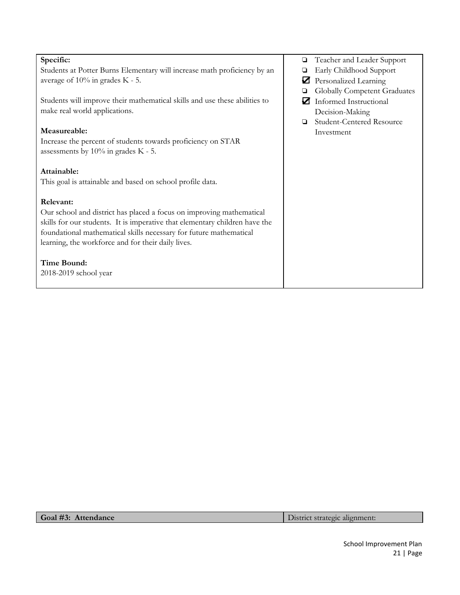| Specific:                                                                   |        | Teacher and Leader Support       |
|-----------------------------------------------------------------------------|--------|----------------------------------|
| Students at Potter Burns Elementary will increase math proficiency by an    | ❏      | Early Childhood Support          |
| average of $10\%$ in grades K - 5.                                          | ☑      | Personalized Learning            |
|                                                                             |        | Globally Competent Graduates     |
| Students will improve their mathematical skills and use these abilities to  | И      | Informed Instructional           |
| make real world applications.                                               |        | Decision-Making                  |
|                                                                             | $\Box$ | <b>Student-Centered Resource</b> |
| Measureable:                                                                |        | Investment                       |
| Increase the percent of students towards proficiency on STAR                |        |                                  |
| assessments by $10\%$ in grades K - 5.                                      |        |                                  |
|                                                                             |        |                                  |
| Attainable:                                                                 |        |                                  |
| This goal is attainable and based on school profile data.                   |        |                                  |
|                                                                             |        |                                  |
| Relevant:                                                                   |        |                                  |
| Our school and district has placed a focus on improving mathematical        |        |                                  |
| skills for our students. It is imperative that elementary children have the |        |                                  |
| foundational mathematical skills necessary for future mathematical          |        |                                  |
| learning, the workforce and for their daily lives.                          |        |                                  |
|                                                                             |        |                                  |
| <b>Time Bound:</b>                                                          |        |                                  |
| 2018-2019 school year                                                       |        |                                  |
|                                                                             |        |                                  |
|                                                                             |        |                                  |

**Goal #3: Attendance** District strategic alignment: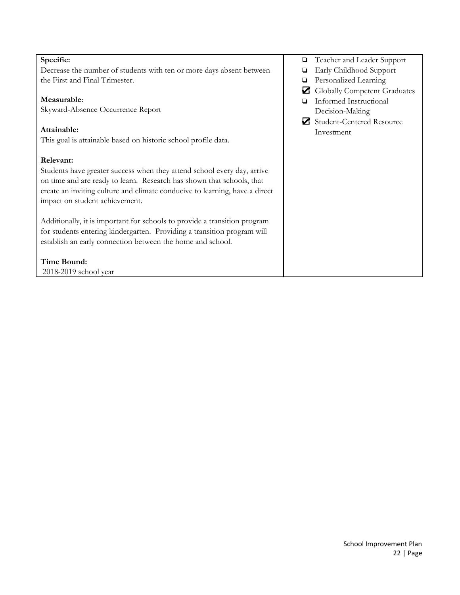| Specific:                                                                   | Teacher and Leader Support<br>❏ |
|-----------------------------------------------------------------------------|---------------------------------|
| Decrease the number of students with ten or more days absent between        | Early Childhood Support         |
| the First and Final Trimester.                                              | Personalized Learning<br>❏      |
|                                                                             | Globally Competent Graduates    |
| Measurable:                                                                 | Informed Instructional          |
| Skyward-Absence Occurrence Report                                           | Decision-Making                 |
|                                                                             | Student-Centered Resource       |
| Attainable:                                                                 | Investment                      |
| This goal is attainable based on historic school profile data.              |                                 |
|                                                                             |                                 |
| Relevant:                                                                   |                                 |
| Students have greater success when they attend school every day, arrive     |                                 |
| on time and are ready to learn. Research has shown that schools, that       |                                 |
| create an inviting culture and climate conducive to learning, have a direct |                                 |
| impact on student achievement.                                              |                                 |
|                                                                             |                                 |
| Additionally, it is important for schools to provide a transition program   |                                 |
| for students entering kindergarten. Providing a transition program will     |                                 |
| establish an early connection between the home and school.                  |                                 |
|                                                                             |                                 |
| Time Bound:                                                                 |                                 |
| 2018-2019 school year                                                       |                                 |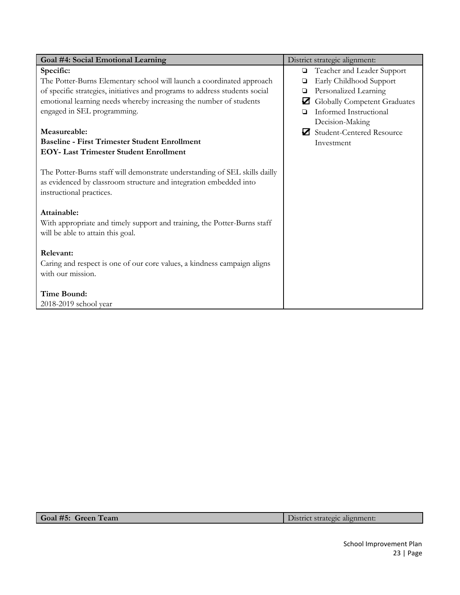| Goal #4: Social Emotional Learning                                                                                                                                          | District strategic alignment:         |
|-----------------------------------------------------------------------------------------------------------------------------------------------------------------------------|---------------------------------------|
| Specific:                                                                                                                                                                   | Teacher and Leader Support<br>$\Box$  |
| The Potter-Burns Elementary school will launch a coordinated approach                                                                                                       | Early Childhood Support<br>❏          |
| of specific strategies, initiatives and programs to address students social                                                                                                 | Personalized Learning<br>❏            |
| emotional learning needs whereby increasing the number of students                                                                                                          | Globally Competent Graduates          |
| engaged in SEL programming.                                                                                                                                                 | Informed Instructional<br>◘           |
|                                                                                                                                                                             | Decision-Making                       |
| Measureable:                                                                                                                                                                | <b>Student-Centered Resource</b><br>И |
| <b>Baseline - First Trimester Student Enrollment</b>                                                                                                                        | Investment                            |
| <b>EOY- Last Trimester Student Enrollment</b>                                                                                                                               |                                       |
| The Potter-Burns staff will demonstrate understanding of SEL skills dailly<br>as evidenced by classroom structure and integration embedded into<br>instructional practices. |                                       |
| Attainable:                                                                                                                                                                 |                                       |
| With appropriate and timely support and training, the Potter-Burns staff<br>will be able to attain this goal.                                                               |                                       |
| Relevant:                                                                                                                                                                   |                                       |
| Caring and respect is one of our core values, a kindness campaign aligns                                                                                                    |                                       |
| with our mission.                                                                                                                                                           |                                       |
|                                                                                                                                                                             |                                       |
| <b>Time Bound:</b>                                                                                                                                                          |                                       |
| 2018-2019 school year                                                                                                                                                       |                                       |
|                                                                                                                                                                             |                                       |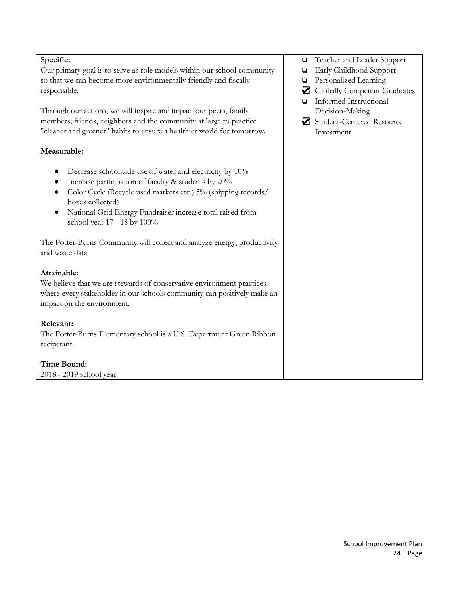| Specific:                                                                | Teacher and Leader Support<br>▫ |
|--------------------------------------------------------------------------|---------------------------------|
| Our primary goal is to serve as role models within our school community  | Early Childhood Support<br>О    |
| so that we can become more environmentally friendly and fiscally         | Personalized Learning<br>▫      |
| responsible.                                                             | Globally Competent Graduates    |
|                                                                          | Informed Instructional<br>o     |
| Through our actions, we will inspire and impact our peers, family        | Decision-Making                 |
| members, friends, neighbors and the community at large to practice       |                                 |
|                                                                          | Student-Centered Resource       |
| "cleaner and greener" habits to ensure a healthier world for tomorrow.   | Investment                      |
| Measurable:                                                              |                                 |
|                                                                          |                                 |
| Decrease schoolwide use of water and electricity by 10%                  |                                 |
| Increase participation of faculty & students by 20%<br>$\bullet$         |                                 |
| Color Cycle (Recycle used markers etc.) 5% (shipping records/            |                                 |
| boxes collected)                                                         |                                 |
| National Grid Energy Fundraiser increase total raised from               |                                 |
| school year 17 - 18 by 100%                                              |                                 |
|                                                                          |                                 |
| The Potter-Burns Community will collect and analyze energy, productivity |                                 |
| and waste data.                                                          |                                 |
|                                                                          |                                 |
| Attainable:                                                              |                                 |
| We believe that we are stewards of conservative environment practices    |                                 |
| where every stakeholder in our schools community can positively make an  |                                 |
| impact on the environment.                                               |                                 |
| Relevant:                                                                |                                 |
|                                                                          |                                 |
| The Potter-Burns Elementary school is a U.S. Department Green Ribbon     |                                 |
| recipetant.                                                              |                                 |
| <b>Time Bound:</b>                                                       |                                 |
| 2018 - 2019 school year                                                  |                                 |
|                                                                          |                                 |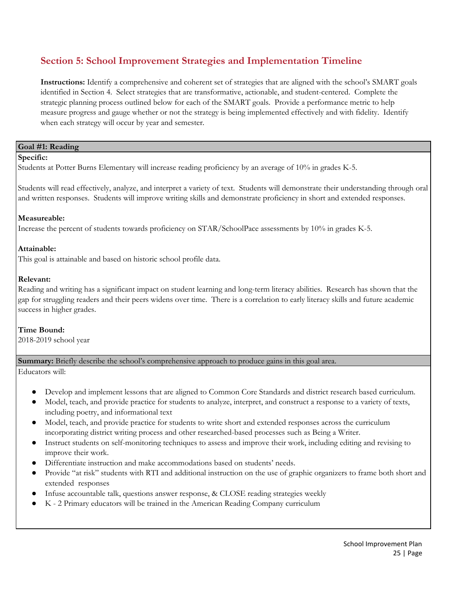# **Section 5: School Improvement Strategies and Implementation Timeline**

**Instructions:** Identify a comprehensive and coherent set of strategies that are aligned with the school's SMART goals identified in Section 4. Select strategies that are transformative, actionable, and student-centered. Complete the strategic planning process outlined below for each of the SMART goals. Provide a performance metric to help measure progress and gauge whether or not the strategy is being implemented effectively and with fidelity. Identify when each strategy will occur by year and semester.

#### **Goal #1: Reading**

#### **Specific:**

Students at Potter Burns Elementary will increase reading proficiency by an average of 10% in grades K-5.

Students will read effectively, analyze, and interpret a variety of text. Students will demonstrate their understanding through oral and written responses. Students will improve writing skills and demonstrate proficiency in short and extended responses.

#### **Measureable:**

Increase the percent of students towards proficiency on STAR/SchoolPace assessments by 10% in grades K-5.

#### **Attainable:**

This goal is attainable and based on historic school profile data.

#### **Relevant:**

Reading and writing has a significant impact on student learning and long-term literacy abilities. Research has shown that the gap for struggling readers and their peers widens over time. There is a correlation to early literacy skills and future academic success in higher grades.

**Time Bound:** 2018-2019 school year

#### **Summary:** Briefly describe the school's comprehensive approach to produce gains in this goal area.

Educators will:

- Develop and implement lessons that are aligned to Common Core Standards and district research based curriculum.
- Model, teach, and provide practice for students to analyze, interpret, and construct a response to a variety of texts, including poetry, and informational text
- Model, teach, and provide practice for students to write short and extended responses across the curriculum incorporating district writing process and other researched-based processes such as Being a Writer.
- Instruct students on self-monitoring techniques to assess and improve their work, including editing and revising to improve their work.
- Differentiate instruction and make accommodations based on students' needs.
- Provide "at risk" students with RTI and additional instruction on the use of graphic organizers to frame both short and extended responses
- Infuse accountable talk, questions answer response, & CLOSE reading strategies weekly
- K 2 Primary educators will be trained in the American Reading Company curriculum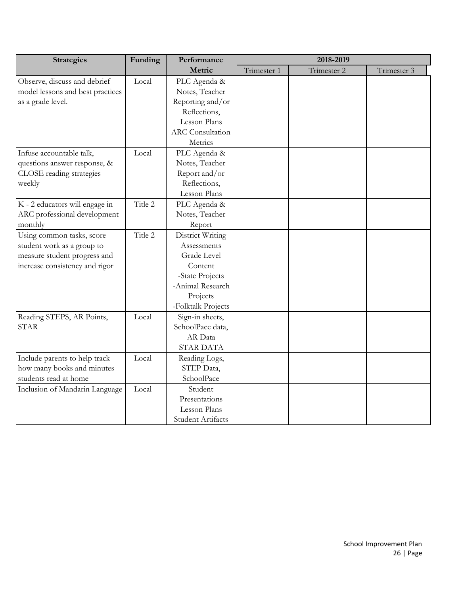| <b>Strategies</b>                | Funding | Performance             | 2018-2019   |             |             |
|----------------------------------|---------|-------------------------|-------------|-------------|-------------|
|                                  |         | Metric                  | Trimester 1 | Trimester 2 | Trimester 3 |
| Observe, discuss and debrief     | Local   | PLC Agenda &            |             |             |             |
| model lessons and best practices |         | Notes, Teacher          |             |             |             |
| as a grade level.                |         | Reporting and/or        |             |             |             |
|                                  |         | Reflections,            |             |             |             |
|                                  |         | Lesson Plans            |             |             |             |
|                                  |         | <b>ARC</b> Consultation |             |             |             |
|                                  |         | Metrics                 |             |             |             |
| Infuse accountable talk,         | Local   | PLC Agenda &            |             |             |             |
| questions answer response, &     |         | Notes, Teacher          |             |             |             |
| CLOSE reading strategies         |         | Report and/or           |             |             |             |
| weekly                           |         | Reflections,            |             |             |             |
|                                  |         | Lesson Plans            |             |             |             |
| K - 2 educators will engage in   | Title 2 | PLC Agenda &            |             |             |             |
| ARC professional development     |         | Notes, Teacher          |             |             |             |
| monthly                          |         | Report                  |             |             |             |
| Using common tasks, score        | Title 2 | District Writing        |             |             |             |
| student work as a group to       |         | Assessments             |             |             |             |
| measure student progress and     |         | Grade Level             |             |             |             |
| increase consistency and rigor   |         | Content                 |             |             |             |
|                                  |         | -State Projects         |             |             |             |
|                                  |         | -Animal Research        |             |             |             |
|                                  |         | Projects                |             |             |             |
|                                  |         | -Folktalk Projects      |             |             |             |
| Reading STEPS, AR Points,        | Local   | Sign-in sheets,         |             |             |             |
| <b>STAR</b>                      |         | SchoolPace data,        |             |             |             |
|                                  |         | AR Data                 |             |             |             |
|                                  |         | <b>STAR DATA</b>        |             |             |             |
| Include parents to help track    | Local   | Reading Logs,           |             |             |             |
| how many books and minutes       |         | STEP Data,              |             |             |             |
| students read at home            |         | SchoolPace              |             |             |             |
| Inclusion of Mandarin Language   | Local   | Student                 |             |             |             |
|                                  |         | Presentations           |             |             |             |
|                                  |         | Lesson Plans            |             |             |             |
|                                  |         | Student Artifacts       |             |             |             |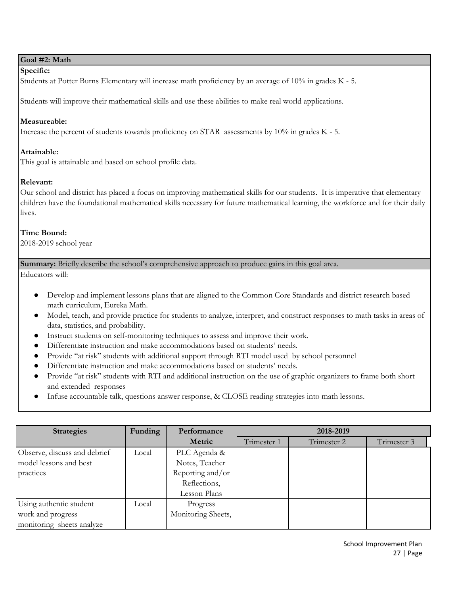#### **Goal #2: Math**

#### **Specific:**

Students at Potter Burns Elementary will increase math proficiency by an average of 10% in grades K - 5.

Students will improve their mathematical skills and use these abilities to make real world applications.

#### **Measureable:**

Increase the percent of students towards proficiency on STAR assessments by 10% in grades K - 5.

#### **Attainable:**

This goal is attainable and based on school profile data.

#### **Relevant:**

Our school and district has placed a focus on improving mathematical skills for our students. It is imperative that elementary children have the foundational mathematical skills necessary for future mathematical learning, the workforce and for their daily lives.

#### **Time Bound:**

2018-2019 school year

**Summary:** Briefly describe the school's comprehensive approach to produce gains in this goal area.

Educators will:

- Develop and implement lessons plans that are aligned to the Common Core Standards and district research based math curriculum, Eureka Math.
- Model, teach, and provide practice for students to analyze, interpret, and construct responses to math tasks in areas of data, statistics, and probability.
- Instruct students on self-monitoring techniques to assess and improve their work.
- Differentiate instruction and make accommodations based on students' needs.
- Provide "at risk" students with additional support through RTI model used by school personnel
- Differentiate instruction and make accommodations based on students' needs.
- Provide "at risk" students with RTI and additional instruction on the use of graphic organizers to frame both short and extended responses
- Infuse accountable talk, questions answer response, & CLOSE reading strategies into math lessons.

| <b>Strategies</b>            | Funding | Performance        | 2018-2019   |             |             |  |  |  |
|------------------------------|---------|--------------------|-------------|-------------|-------------|--|--|--|
|                              |         | <b>Metric</b>      | Trimester 1 | Trimester 2 | Trimester 3 |  |  |  |
| Observe, discuss and debrief | Local   | PLC Agenda &       |             |             |             |  |  |  |
| model lessons and best       |         | Notes, Teacher     |             |             |             |  |  |  |
| practices                    |         | Reporting and/or   |             |             |             |  |  |  |
|                              |         | Reflections,       |             |             |             |  |  |  |
|                              |         | Lesson Plans       |             |             |             |  |  |  |
| Using authentic student      | Local   | Progress           |             |             |             |  |  |  |
| work and progress            |         | Monitoring Sheets, |             |             |             |  |  |  |
| monitoring sheets analyze    |         |                    |             |             |             |  |  |  |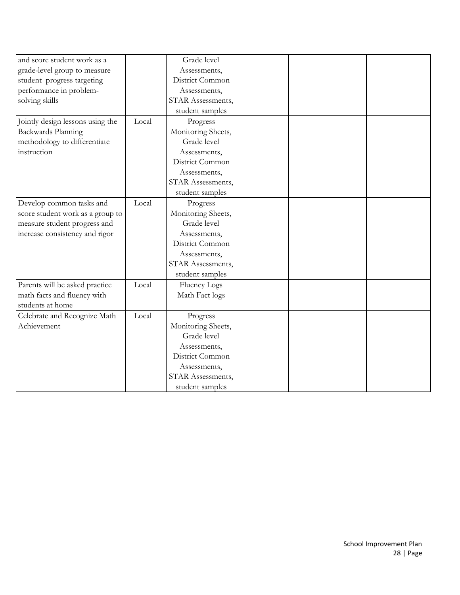| and score student work as a      |       | Grade level        |  |  |
|----------------------------------|-------|--------------------|--|--|
| grade-level group to measure     |       | Assessments,       |  |  |
| student progress targeting       |       | District Common    |  |  |
| performance in problem-          |       | Assessments,       |  |  |
| solving skills                   |       | STAR Assessments,  |  |  |
|                                  |       | student samples    |  |  |
| Jointly design lessons using the | Local | Progress           |  |  |
| Backwards Planning               |       | Monitoring Sheets, |  |  |
| methodology to differentiate     |       | Grade level        |  |  |
| instruction                      |       | Assessments,       |  |  |
|                                  |       | District Common    |  |  |
|                                  |       | Assessments,       |  |  |
|                                  |       | STAR Assessments,  |  |  |
|                                  |       | student samples    |  |  |
| Develop common tasks and         | Local | Progress           |  |  |
| score student work as a group to |       | Monitoring Sheets, |  |  |
| measure student progress and     |       | Grade level        |  |  |
| increase consistency and rigor   |       | Assessments,       |  |  |
|                                  |       | District Common    |  |  |
|                                  |       | Assessments,       |  |  |
|                                  |       | STAR Assessments,  |  |  |
|                                  |       | student samples    |  |  |
| Parents will be asked practice   | Local | Fluency Logs       |  |  |
| math facts and fluency with      |       | Math Fact logs     |  |  |
| students at home                 |       |                    |  |  |
| Celebrate and Recognize Math     | Local | Progress           |  |  |
| Achievement                      |       | Monitoring Sheets, |  |  |
|                                  |       | Grade level        |  |  |
|                                  |       | Assessments,       |  |  |
|                                  |       | District Common    |  |  |
|                                  |       | Assessments,       |  |  |
|                                  |       | STAR Assessments,  |  |  |
|                                  |       | student samples    |  |  |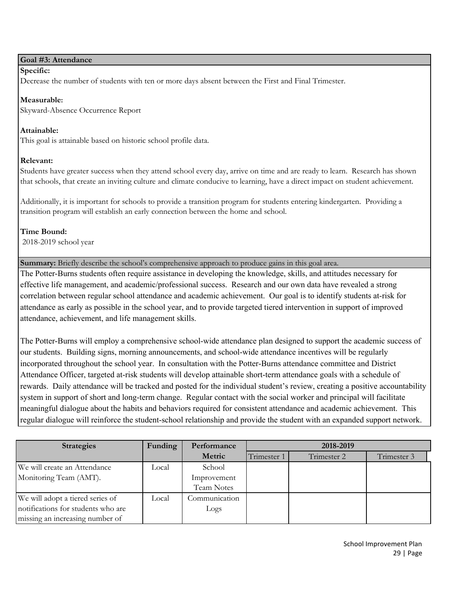#### **Goal #3: Attendance**

#### **Specific:**

Decrease the number of students with ten or more days absent between the First and Final Trimester.

#### **Measurable:**

Skyward-Absence Occurrence Report

#### **Attainable:**

This goal is attainable based on historic school profile data.

#### **Relevant:**

Students have greater success when they attend school every day, arrive on time and are ready to learn. Research has shown that schools, that create an inviting culture and climate conducive to learning, have a direct impact on student achievement.

Additionally, it is important for schools to provide a transition program for students entering kindergarten. Providing a transition program will establish an early connection between the home and school.

# **Time Bound:**

2018-2019 school year

**Summary:** Briefly describe the school's comprehensive approach to produce gains in this goal area.

The Potter-Burns students often require assistance in developing the knowledge, skills, and attitudes necessary for effective life management, and academic/professional success. Research and our own data have revealed a strong correlation between regular school attendance and academic achievement. Our goal is to identify students at-risk for attendance as early as possible in the school year, and to provide targeted tiered intervention in support of improved attendance, achievement, and life management skills.

The Potter-Burns will employ a comprehensive school-wide attendance plan designed to support the academic success of our students. Building signs, morning announcements, and school-wide attendance incentives will be regularly incorporated throughout the school year. In consultation with the Potter-Burns attendance committee and District Attendance Officer, targeted at-risk students will develop attainable short-term attendance goals with a schedule of rewards. Daily attendance will be tracked and posted for the individual student's review, creating a positive accountability system in support of short and long-term change. Regular contact with the social worker and principal will facilitate meaningful dialogue about the habits and behaviors required for consistent attendance and academic achievement. This regular dialogue will reinforce the student-school relationship and provide the student with an expanded support network.

| <b>Strategies</b>                  | Funding | Performance   | 2018-2019   |             |             |
|------------------------------------|---------|---------------|-------------|-------------|-------------|
|                                    |         | Metric        | Trimester 1 | Trimester 2 | Trimester 3 |
| We will create an Attendance       | Local   | School        |             |             |             |
| Monitoring Team (AMT).             |         | Improvement   |             |             |             |
|                                    |         | Team Notes    |             |             |             |
| We will adopt a tiered series of   | Local   | Communication |             |             |             |
| notifications for students who are |         | Logs          |             |             |             |
| missing an increasing number of    |         |               |             |             |             |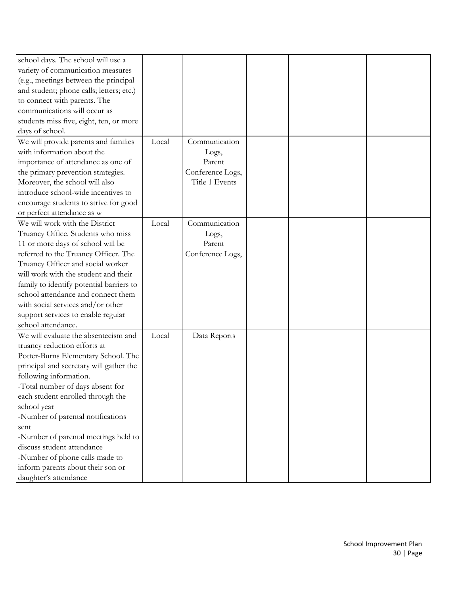| school days. The school will use a       |       |                  |  |  |
|------------------------------------------|-------|------------------|--|--|
| variety of communication measures        |       |                  |  |  |
| (e.g., meetings between the principal    |       |                  |  |  |
| and student; phone calls; letters; etc.) |       |                  |  |  |
| to connect with parents. The             |       |                  |  |  |
| communications will occur as             |       |                  |  |  |
| students miss five, eight, ten, or more  |       |                  |  |  |
| days of school.                          |       |                  |  |  |
| We will provide parents and families     | Local | Communication    |  |  |
| with information about the               |       | Logs,            |  |  |
| importance of attendance as one of       |       | Parent           |  |  |
| the primary prevention strategies.       |       | Conference Logs, |  |  |
| Moreover, the school will also           |       | Title 1 Events   |  |  |
| introduce school-wide incentives to      |       |                  |  |  |
| encourage students to strive for good    |       |                  |  |  |
| or perfect attendance as w               |       |                  |  |  |
| We will work with the District           | Local | Communication    |  |  |
| Truancy Office. Students who miss        |       | Logs,            |  |  |
| 11 or more days of school will be        |       | Parent           |  |  |
| referred to the Truancy Officer. The     |       | Conference Logs, |  |  |
| Truancy Officer and social worker        |       |                  |  |  |
| will work with the student and their     |       |                  |  |  |
| family to identify potential barriers to |       |                  |  |  |
| school attendance and connect them       |       |                  |  |  |
| with social services and/or other        |       |                  |  |  |
| support services to enable regular       |       |                  |  |  |
| school attendance.                       |       |                  |  |  |
| We will evaluate the absenteeism and     | Local | Data Reports     |  |  |
| truancy reduction efforts at             |       |                  |  |  |
| Potter-Burns Elementary School. The      |       |                  |  |  |
| principal and secretary will gather the  |       |                  |  |  |
| following information.                   |       |                  |  |  |
|                                          |       |                  |  |  |
| -Total number of days absent for         |       |                  |  |  |
| each student enrolled through the        |       |                  |  |  |
| school year                              |       |                  |  |  |
| -Number of parental notifications        |       |                  |  |  |
| sent                                     |       |                  |  |  |
| -Number of parental meetings held to     |       |                  |  |  |
| discuss student attendance               |       |                  |  |  |
| -Number of phone calls made to           |       |                  |  |  |
| inform parents about their son or        |       |                  |  |  |
| daughter's attendance                    |       |                  |  |  |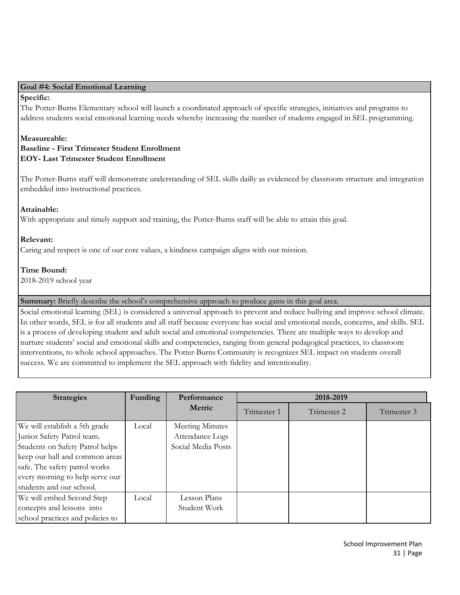#### **Goal #4: Social Emotional Learning**

#### **Specific:**

The Potter-Burns Elementary school will launch a coordinated approach of specific strategies, initiatives and programs to address students social emotional learning needs whereby increasing the number of students engaged in SEL programming.

#### **Measureable: Baseline - First Trimester Student Enrollment EOY- Last Trimester Student Enrollment**

The Potter-Burns staff will demonstrate understanding of SEL skills dailly as evidenced by classroom structure and integration embedded into instructional practices.

#### **Attainable:**

With appropriate and timely support and training, the Potter-Burns staff will be able to attain this goal.

#### **Relevant:**

Caring and respect is one of our core values, a kindness campaign aligns with our mission.

#### **Time Bound:**

2018-2019 school year

**Summary:** Briefly describe the school's comprehensive approach to produce gains in this goal area.

Social emotional learning (SEL) is considered a universal approach to prevent and reduce bullying and improve school climate. In other words, SEL is for all students and all staff because everyone has social and emotional needs, concerns, and skills. SEL is a process of developing student and adult social and emotional competencies. There are multiple ways to develop and nurture students' social and emotional skills and competencies, ranging from general pedagogical practices, to classroom interventions, to whole school approaches. The Potter-Burns Community is recognizes SEL impact on students overall success. We are committed to implement the SEL approach with fidelity and intentionality.

| <b>Strategies</b>                | Funding | Performance        | 2018-2019   |             |             |
|----------------------------------|---------|--------------------|-------------|-------------|-------------|
|                                  |         | Metric             | Trimester 1 | Trimester 2 | Trimester 3 |
| We will establish a 5th grade    | Local   | Meeting Minutes    |             |             |             |
| Junior Safety Patrol team.       |         | Attendance Logs    |             |             |             |
| Students on Safety Patrol helps  |         | Social Media Posts |             |             |             |
| keep our hall and common areas   |         |                    |             |             |             |
| safe. The safety patrol works    |         |                    |             |             |             |
| every morning to help serve our  |         |                    |             |             |             |
| students and our school.         |         |                    |             |             |             |
| We will embed Second Step        | Local   | Lesson Plans       |             |             |             |
| concepts and lessons into        |         | Student Work       |             |             |             |
| school practices and policies to |         |                    |             |             |             |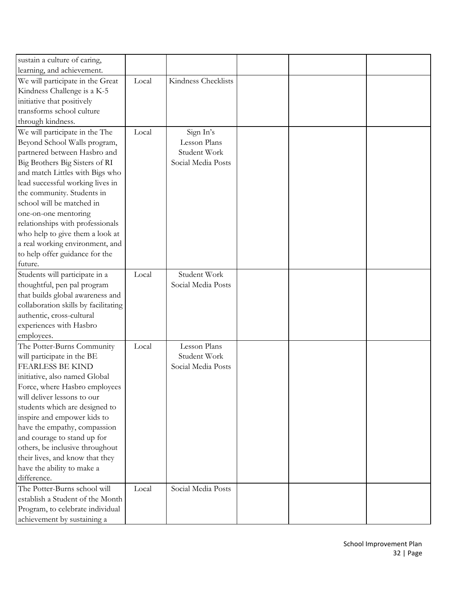| sustain a culture of caring,         |       |                     |  |  |
|--------------------------------------|-------|---------------------|--|--|
| learning, and achievement.           |       |                     |  |  |
| We will participate in the Great     | Local | Kindness Checklists |  |  |
| Kindness Challenge is a K-5          |       |                     |  |  |
| initiative that positively           |       |                     |  |  |
| transforms school culture            |       |                     |  |  |
| through kindness.                    |       |                     |  |  |
| We will participate in the The       | Local | Sign In's           |  |  |
| Beyond School Walls program,         |       | Lesson Plans        |  |  |
| partnered between Hasbro and         |       | Student Work        |  |  |
| Big Brothers Big Sisters of RI       |       | Social Media Posts  |  |  |
| and match Littles with Bigs who      |       |                     |  |  |
| lead successful working lives in     |       |                     |  |  |
| the community. Students in           |       |                     |  |  |
| school will be matched in            |       |                     |  |  |
| one-on-one mentoring                 |       |                     |  |  |
|                                      |       |                     |  |  |
| relationships with professionals     |       |                     |  |  |
| who help to give them a look at      |       |                     |  |  |
| a real working environment, and      |       |                     |  |  |
| to help offer guidance for the       |       |                     |  |  |
| future.                              |       |                     |  |  |
| Students will participate in a       | Local | Student Work        |  |  |
| thoughtful, pen pal program          |       | Social Media Posts  |  |  |
| that builds global awareness and     |       |                     |  |  |
| collaboration skills by facilitating |       |                     |  |  |
| authentic, cross-cultural            |       |                     |  |  |
| experiences with Hasbro              |       |                     |  |  |
| employees.                           |       |                     |  |  |
| The Potter-Burns Community           | Local | Lesson Plans        |  |  |
| will participate in the BE           |       | Student Work        |  |  |
| <b>FEARLESS BE KIND</b>              |       | Social Media Posts  |  |  |
| initiative, also named Global        |       |                     |  |  |
| Force, where Hasbro employees        |       |                     |  |  |
| will deliver lessons to our          |       |                     |  |  |
| students which are designed to       |       |                     |  |  |
| inspire and empower kids to          |       |                     |  |  |
| have the empathy, compassion         |       |                     |  |  |
| and courage to stand up for          |       |                     |  |  |
| others, be inclusive throughout      |       |                     |  |  |
| their lives, and know that they      |       |                     |  |  |
| have the ability to make a           |       |                     |  |  |
| difference.                          |       |                     |  |  |
| The Potter-Burns school will         | Local | Social Media Posts  |  |  |
| establish a Student of the Month     |       |                     |  |  |
| Program, to celebrate individual     |       |                     |  |  |
| achievement by sustaining a          |       |                     |  |  |
|                                      |       |                     |  |  |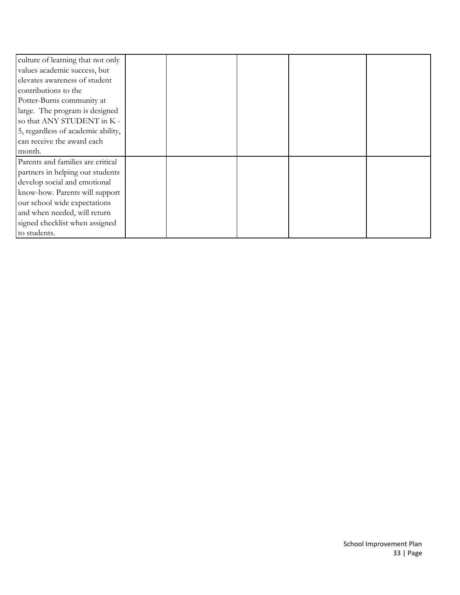| culture of learning that not only  |  |  |  |
|------------------------------------|--|--|--|
| values academic success, but       |  |  |  |
| elevates awareness of student      |  |  |  |
| contributions to the               |  |  |  |
| Potter-Burns community at          |  |  |  |
| large. The program is designed     |  |  |  |
| so that ANY STUDENT in K -         |  |  |  |
| 5, regardless of academic ability, |  |  |  |
| can receive the award each         |  |  |  |
| month.                             |  |  |  |
| Parents and families are critical  |  |  |  |
| partners in helping our students   |  |  |  |
| develop social and emotional       |  |  |  |
| know-how. Parents will support     |  |  |  |
| our school wide expectations       |  |  |  |
| and when needed, will return       |  |  |  |
| signed checklist when assigned     |  |  |  |
| to students.                       |  |  |  |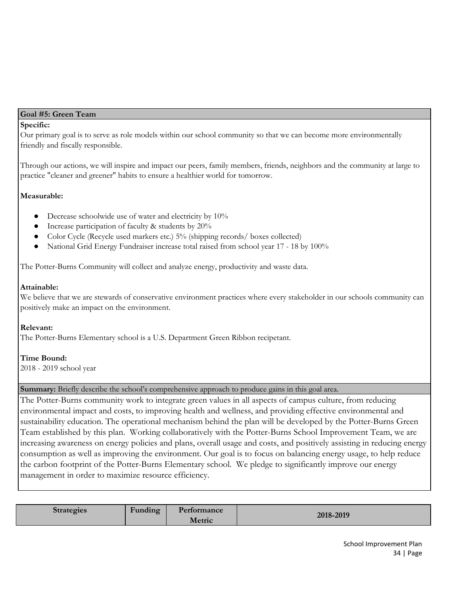#### **Goal #5: Green Team**

#### **Specific:**

Our primary goal is to serve as role models within our school community so that we can become more environmentally friendly and fiscally responsible.

Through our actions, we will inspire and impact our peers, family members, friends, neighbors and the community at large to practice "cleaner and greener" habits to ensure a healthier world for tomorrow.

#### **Measurable:**

- Decrease schoolwide use of water and electricity by 10%
- Increase participation of faculty & students by 20%
- Color Cycle (Recycle used markers etc.) 5% (shipping records/ boxes collected)
- National Grid Energy Fundraiser increase total raised from school year 17 18 by 100%

The Potter-Burns Community will collect and analyze energy, productivity and waste data.

#### **Attainable:**

We believe that we are stewards of conservative environment practices where every stakeholder in our schools community can positively make an impact on the environment.

#### **Relevant:**

The Potter-Burns Elementary school is a U.S. Department Green Ribbon recipetant.

#### **Time Bound:**

2018 - 2019 school year

#### **Summary:** Briefly describe the school's comprehensive approach to produce gains in this goal area.

The Potter-Burns community work to integrate green values in all aspects of campus culture, from reducing environmental impact and costs, to improving health and wellness, and providing effective environmental and sustainability education. The operational mechanism behind the plan will be developed by the Potter-Burns Green Team established by this plan. Working collaboratively with the Potter-Burns School Improvement Team, we are increasing awareness on energy policies and plans, overall usage and costs, and positively assisting in reducing energy consumption as well as improving the environment. Our goal is to focus on balancing energy usage, to help reduce the carbon footprint of the Potter-Burns Elementary school. We pledge to significantly improve our energy management in order to maximize resource efficiency.

| Strategies | $\bullet$<br>$\blacksquare$<br>Funding | Performance<br>Metric | 2018-2019 |
|------------|----------------------------------------|-----------------------|-----------|
|------------|----------------------------------------|-----------------------|-----------|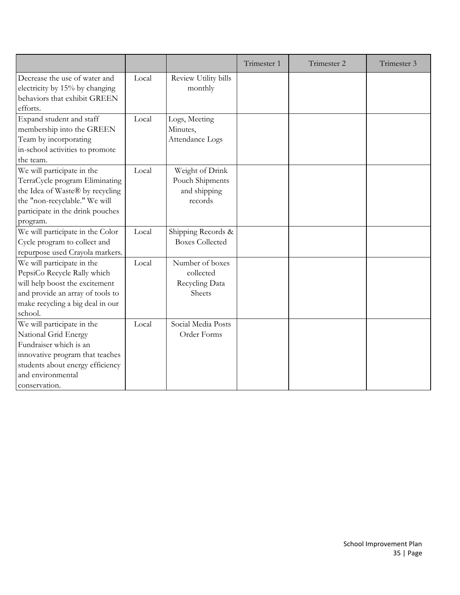|                                                                                                                                                                                           |       |                                                               | Trimester 1 | Trimester 2 | Trimester 3 |
|-------------------------------------------------------------------------------------------------------------------------------------------------------------------------------------------|-------|---------------------------------------------------------------|-------------|-------------|-------------|
| Decrease the use of water and<br>electricity by 15% by changing<br>behaviors that exhibit GREEN<br>efforts.                                                                               | Local | Review Utility bills<br>monthly                               |             |             |             |
| Expand student and staff<br>membership into the GREEN<br>Team by incorporating<br>in-school activities to promote<br>the team.                                                            | Local | Logs, Meeting<br>Minutes,<br>Attendance Logs                  |             |             |             |
| We will participate in the<br>TerraCycle program Eliminating<br>the Idea of Waste® by recycling<br>the "non-recyclable." We will<br>participate in the drink pouches<br>program.          | Local | Weight of Drink<br>Pouch Shipments<br>and shipping<br>records |             |             |             |
| We will participate in the Color<br>Cycle program to collect and<br>repurpose used Crayola markers.                                                                                       | Local | Shipping Records &<br><b>Boxes Collected</b>                  |             |             |             |
| We will participate in the<br>PepsiCo Recycle Rally which<br>will help boost the excitement<br>and provide an array of tools to<br>make recycling a big deal in our<br>school.            | Local | Number of boxes<br>collected<br>Recycling Data<br>Sheets      |             |             |             |
| We will participate in the<br>National Grid Energy<br>Fundraiser which is an<br>innovative program that teaches<br>students about energy efficiency<br>and environmental<br>conservation. | Local | Social Media Posts<br>Order Forms                             |             |             |             |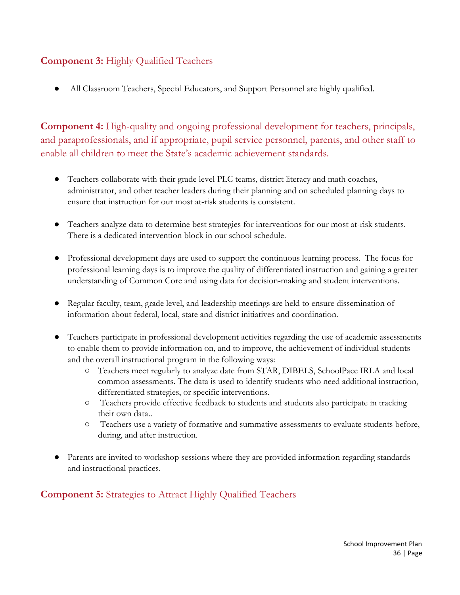# **Component 3:** Highly Qualified Teachers

All Classroom Teachers, Special Educators, and Support Personnel are highly qualified.

**Component 4:** High-quality and ongoing professional development for teachers, principals, and paraprofessionals, and if appropriate, pupil service personnel, parents, and other staff to enable all children to meet the State's academic achievement standards.

- Teachers collaborate with their grade level PLC teams, district literacy and math coaches, administrator, and other teacher leaders during their planning and on scheduled planning days to ensure that instruction for our most at-risk students is consistent.
- Teachers analyze data to determine best strategies for interventions for our most at-risk students. There is a dedicated intervention block in our school schedule.
- Professional development days are used to support the continuous learning process. The focus for professional learning days is to improve the quality of differentiated instruction and gaining a greater understanding of Common Core and using data for decision-making and student interventions.
- Regular faculty, team, grade level, and leadership meetings are held to ensure dissemination of information about federal, local, state and district initiatives and coordination.
- Teachers participate in professional development activities regarding the use of academic assessments to enable them to provide information on, and to improve, the achievement of individual students and the overall instructional program in the following ways:
	- Teachers meet regularly to analyze date from STAR, DIBELS, SchoolPace IRLA and local common assessments. The data is used to identify students who need additional instruction, differentiated strategies, or specific interventions.
	- Teachers provide effective feedback to students and students also participate in tracking their own data..
	- Teachers use a variety of formative and summative assessments to evaluate students before, during, and after instruction.
- Parents are invited to workshop sessions where they are provided information regarding standards and instructional practices.

**Component 5:** Strategies to Attract Highly Qualified Teachers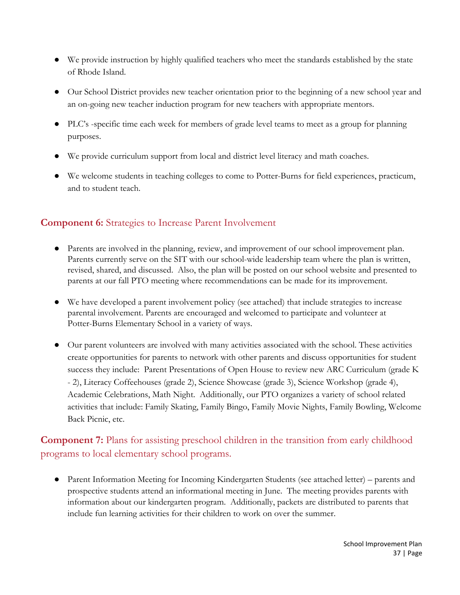- We provide instruction by highly qualified teachers who meet the standards established by the state of Rhode Island.
- Our School District provides new teacher orientation prior to the beginning of a new school year and an on-going new teacher induction program for new teachers with appropriate mentors.
- PLC's -specific time each week for members of grade level teams to meet as a group for planning purposes.
- We provide curriculum support from local and district level literacy and math coaches.
- We welcome students in teaching colleges to come to Potter-Burns for field experiences, practicum, and to student teach.

# **Component 6:** Strategies to Increase Parent Involvement

- Parents are involved in the planning, review, and improvement of our school improvement plan. Parents currently serve on the SIT with our school-wide leadership team where the plan is written, revised, shared, and discussed. Also, the plan will be posted on our school website and presented to parents at our fall PTO meeting where recommendations can be made for its improvement.
- We have developed a parent involvement policy (see attached) that include strategies to increase parental involvement. Parents are encouraged and welcomed to participate and volunteer at Potter-Burns Elementary School in a variety of ways.
- Our parent volunteers are involved with many activities associated with the school. These activities create opportunities for parents to network with other parents and discuss opportunities for student success they include: Parent Presentations of Open House to review new ARC Curriculum (grade K - 2), Literacy Coffeehouses (grade 2), Science Showcase (grade 3), Science Workshop (grade 4), Academic Celebrations, Math Night. Additionally, our PTO organizes a variety of school related activities that include: Family Skating, Family Bingo, Family Movie Nights, Family Bowling, Welcome Back Picnic, etc.

# **Component 7:** Plans for assisting preschool children in the transition from early childhood programs to local elementary school programs.

• Parent Information Meeting for Incoming Kindergarten Students (see attached letter) – parents and prospective students attend an informational meeting in June. The meeting provides parents with information about our kindergarten program. Additionally, packets are distributed to parents that include fun learning activities for their children to work on over the summer.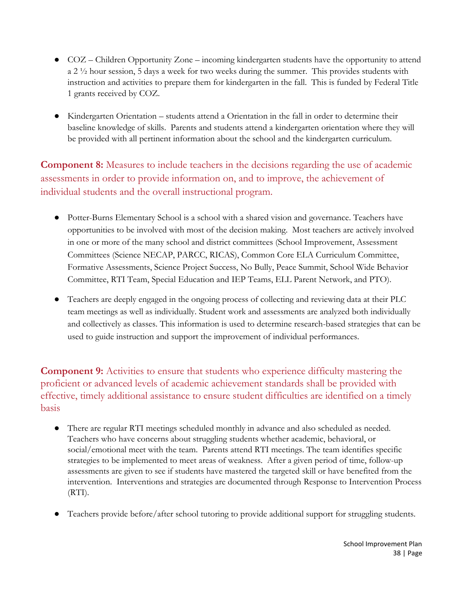- **●** COZ Children Opportunity Zone incoming kindergarten students have the opportunity to attend a 2 ½ hour session, 5 days a week for two weeks during the summer. This provides students with instruction and activities to prepare them for kindergarten in the fall. This is funded by Federal Title 1 grants received by COZ.
- **●** Kindergarten Orientation students attend a Orientation in the fall in order to determine their baseline knowledge of skills. Parents and students attend a kindergarten orientation where they will be provided with all pertinent information about the school and the kindergarten curriculum.

**Component 8:** Measures to include teachers in the decisions regarding the use of academic assessments in order to provide information on, and to improve, the achievement of individual students and the overall instructional program.

- Potter-Burns Elementary School is a school with a shared vision and governance. Teachers have opportunities to be involved with most of the decision making. Most teachers are actively involved in one or more of the many school and district committees (School Improvement, Assessment Committees (Science NECAP, PARCC, RICAS), Common Core ELA Curriculum Committee, Formative Assessments, Science Project Success, No Bully, Peace Summit, School Wide Behavior Committee, RTI Team, Special Education and IEP Teams, ELL Parent Network, and PTO).
- Teachers are deeply engaged in the ongoing process of collecting and reviewing data at their PLC team meetings as well as individually. Student work and assessments are analyzed both individually and collectively as classes. This information is used to determine research-based strategies that can be used to guide instruction and support the improvement of individual performances.

**Component 9:** Activities to ensure that students who experience difficulty mastering the proficient or advanced levels of academic achievement standards shall be provided with effective, timely additional assistance to ensure student difficulties are identified on a timely basis

- There are regular RTI meetings scheduled monthly in advance and also scheduled as needed. Teachers who have concerns about struggling students whether academic, behavioral, or social/emotional meet with the team. Parents attend RTI meetings. The team identifies specific strategies to be implemented to meet areas of weakness. After a given period of time, follow-up assessments are given to see if students have mastered the targeted skill or have benefited from the intervention. Interventions and strategies are documented through Response to Intervention Process  $(RTI)$ .
- Teachers provide before/after school tutoring to provide additional support for struggling students.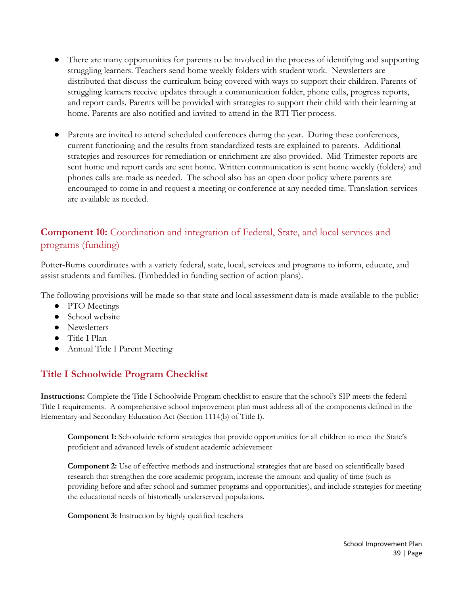- There are many opportunities for parents to be involved in the process of identifying and supporting struggling learners. Teachers send home weekly folders with student work. Newsletters are distributed that discuss the curriculum being covered with ways to support their children. Parents of struggling learners receive updates through a communication folder, phone calls, progress reports, and report cards. Parents will be provided with strategies to support their child with their learning at home. Parents are also notified and invited to attend in the RTI Tier process.
- Parents are invited to attend scheduled conferences during the year. During these conferences, current functioning and the results from standardized tests are explained to parents. Additional strategies and resources for remediation or enrichment are also provided. Mid-Trimester reports are sent home and report cards are sent home. Written communication is sent home weekly (folders) and phones calls are made as needed. The school also has an open door policy where parents are encouraged to come in and request a meeting or conference at any needed time. Translation services are available as needed.

# **Component 10:** Coordination and integration of Federal, State, and local services and programs (funding)

Potter-Burns coordinates with a variety federal, state, local, services and programs to inform, educate, and assist students and families. (Embedded in funding section of action plans).

The following provisions will be made so that state and local assessment data is made available to the public:

- PTO Meetings
- School website
- Newsletters
- Title I Plan
- Annual Title I Parent Meeting

# **Title I Schoolwide Program Checklist**

**Instructions:** Complete the Title I Schoolwide Program checklist to ensure that the school's SIP meets the federal Title I requirements. A comprehensive school improvement plan must address all of the components defined in the Elementary and Secondary Education Act (Section 1114(b) of Title I).

**Component 1:** Schoolwide reform strategies that provide opportunities for all children to meet the State's proficient and advanced levels of student academic achievement

**Component 2:** Use of effective methods and instructional strategies that are based on scientifically based research that strengthen the core academic program, increase the amount and quality of time (such as providing before and after school and summer programs and opportunities), and include strategies for meeting the educational needs of historically underserved populations.

**Component 3:** Instruction by highly qualified teachers